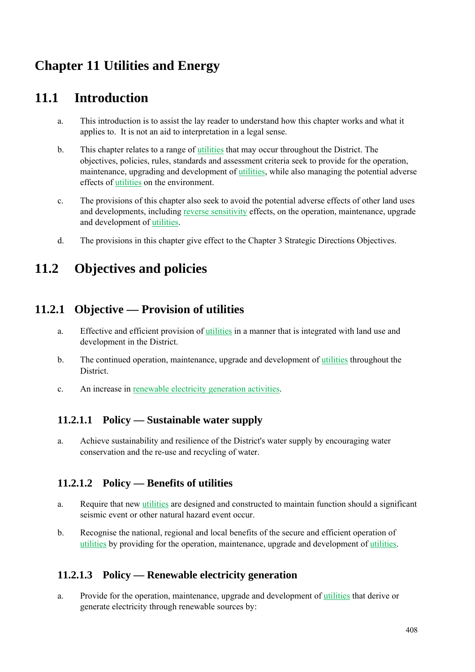# **Chapter 11 Utilities and Energy**

# **11.1 Introduction**

- a. This introduction is to assist the lay reader to understand how this chapter works and what it applies to. It is not an aid to interpretation in a legal sense.
- b. This chapter relates to a range of utilities that may occur throughout the District. The objectives, policies, rules, standards and assessment criteria seek to provide for the operation, maintenance, upgrading and development of utilities, while also managing the potential adverse effects of utilities on the environment.
- c. The provisions of this chapter also seek to avoid the potential adverse effects of other land uses and developments, including reverse sensitivity effects, on the operation, maintenance, upgrade and development of utilities.
- d. The provisions in this chapter give effect to the Chapter 3 Strategic Directions Objectives.

# **11.2 Objectives and policies**

## **11.2.1 Objective — Provision of utilities**

- a. Effective and efficient provision of utilities in a manner that is integrated with land use and development in the District.
- b. The continued operation, maintenance, upgrade and development of utilities throughout the District.
- c. An increase in renewable electricity generation activities.

#### **11.2.1.1 Policy — Sustainable water supply**

a. Achieve sustainability and resilience of the District's water supply by encouraging water conservation and the re-use and recycling of water.

#### **11.2.1.2 Policy — Benefits of utilities**

- a. Require that new utilities are designed and constructed to maintain function should a significant seismic event or other natural hazard event occur.
- b. Recognise the national, regional and local benefits of the secure and efficient operation of utilities by providing for the operation, maintenance, upgrade and development of utilities.

#### **11.2.1.3 Policy — Renewable electricity generation**

a. Provide for the operation, maintenance, upgrade and development of utilities that derive or generate electricity through renewable sources by: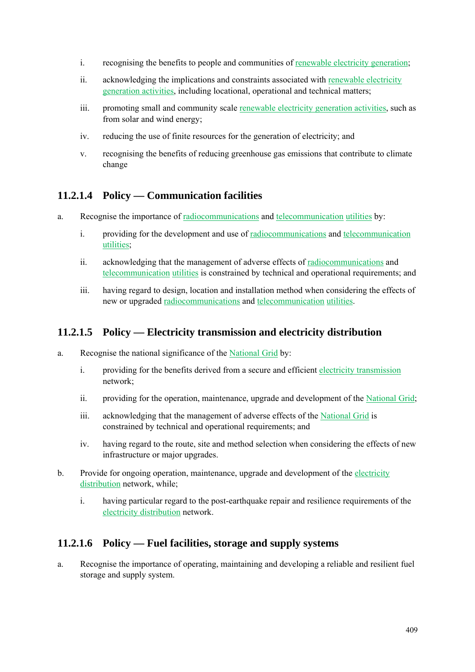- i. recognising the benefits to people and communities of renewable electricity generation;
- ii. acknowledging the implications and constraints associated with renewable electricity generation activities, including locational, operational and technical matters;
- iii. promoting small and community scale renewable electricity generation activities, such as from solar and wind energy;
- iv. reducing the use of finite resources for the generation of electricity; and
- v. recognising the benefits of reducing greenhouse gas emissions that contribute to climate change

### **11.2.1.4 Policy — Communication facilities**

- a. Recognise the importance of radiocommunications and telecommunication utilities by:
	- i. providing for the development and use of radiocommunications and telecommunication utilities;
	- ii. acknowledging that the management of adverse effects of radiocommunications and telecommunication utilities is constrained by technical and operational requirements; and
	- iii. having regard to design, location and installation method when considering the effects of new or upgraded radiocommunications and telecommunication utilities.

#### **11.2.1.5 Policy — Electricity transmission and electricity distribution**

- a. Recognise the national significance of the National Grid by:
	- i. providing for the benefits derived from a secure and efficient electricity transmission network;
	- ii. providing for the operation, maintenance, upgrade and development of the National Grid;
	- iii. acknowledging that the management of adverse effects of the National Grid is constrained by technical and operational requirements; and
	- iv. having regard to the route, site and method selection when considering the effects of new infrastructure or major upgrades.
- b. Provide for ongoing operation, maintenance, upgrade and development of the electricity distribution network, while;
	- i. having particular regard to the post-earthquake repair and resilience requirements of the electricity distribution network.

#### **11.2.1.6 Policy — Fuel facilities, storage and supply systems**

a. Recognise the importance of operating, maintaining and developing a reliable and resilient fuel storage and supply system.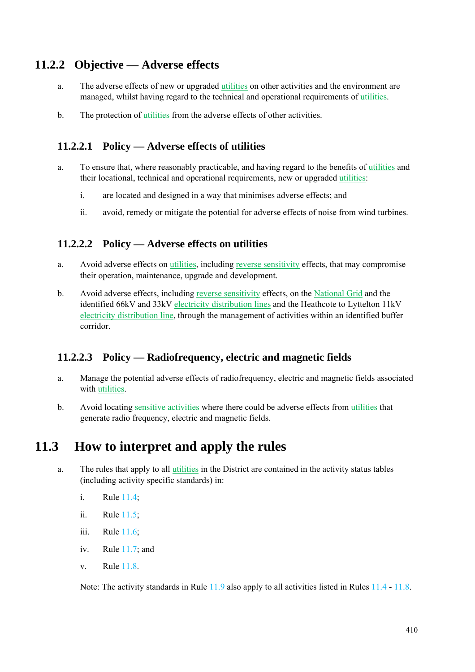## **11.2.2 Objective — Adverse effects**

- a. The adverse effects of new or upgraded utilities on other activities and the environment are managed, whilst having regard to the technical and operational requirements of utilities.
- b. The protection of utilities from the adverse effects of other activities.

#### **11.2.2.1 Policy — Adverse effects of utilities**

- a. To ensure that, where reasonably practicable, and having regard to the benefits of utilities and their locational, technical and operational requirements, new or upgraded utilities:
	- i. are located and designed in a way that minimises adverse effects; and
	- ii. avoid, remedy or mitigate the potential for adverse effects of noise from wind turbines.

#### **11.2.2.2 Policy — Adverse effects on utilities**

- a. Avoid adverse effects on utilities, including reverse sensitivity effects, that may compromise their operation, maintenance, upgrade and development.
- b. Avoid adverse effects, including reverse sensitivity effects, on the National Grid and the identified 66kV and 33kV electricity distribution lines and the Heathcote to Lyttelton 11kV electricity distribution line, through the management of activities within an identified buffer corridor.

#### **11.2.2.3 Policy — Radiofrequency, electric and magnetic fields**

- a. Manage the potential adverse effects of radiofrequency, electric and magnetic fields associated with utilities.
- b. Avoid locating sensitive activities where there could be adverse effects from utilities that generate radio frequency, electric and magnetic fields.

# **11.3 How to interpret and apply the rules**

- a. The rules that apply to all utilities in the District are contained in the activity status tables (including activity specific standards) in:
	- i. Rule 11.4;
	- ii. Rule 11.5;
	- iii. Rule 11.6;
	- iv. Rule 11.7; and
	- v. Rule 11.8.

Note: The activity standards in Rule 11.9 also apply to all activities listed in Rules 11.4 - 11.8.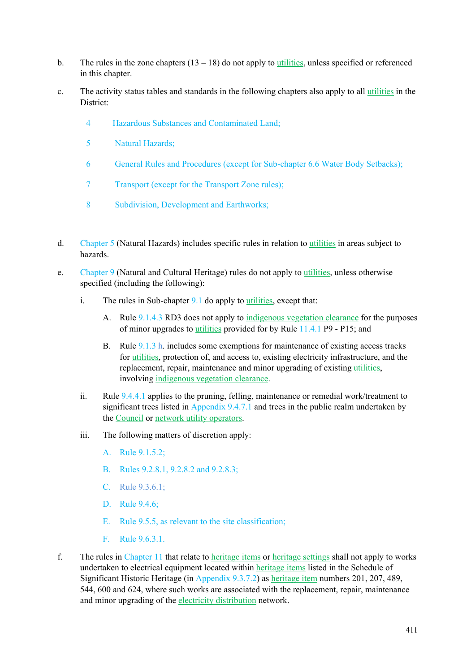- b. The rules in the zone chapters  $(13 18)$  do not apply to utilities, unless specified or referenced in this chapter.
- c. The activity status tables and standards in the following chapters also apply to all utilities in the District:
	- 4 Hazardous Substances and Contaminated Land;
	- 5 Natural Hazards;
	- 6 General Rules and Procedures (except for Sub-chapter 6.6 Water Body Setbacks);
	- 7 Transport (except for the Transport Zone rules);
	- 8 Subdivision, Development and Earthworks;
- d. Chapter 5 (Natural Hazards) includes specific rules in relation to utilities in areas subject to hazards.
- e. Chapter 9 (Natural and Cultural Heritage) rules do not apply to utilities, unless otherwise specified (including the following):
	- i. The rules in Sub-chapter 9.1 do apply to utilities, except that:
		- A. Rule 9.1.4.3 RD3 does not apply to indigenous vegetation clearance for the purposes of minor upgrades to utilities provided for by Rule 11.4.1 P9 - P15; and
		- B. Rule 9.1.3 h. includes some exemptions for maintenance of existing access tracks for utilities, protection of, and access to, existing electricity infrastructure, and the replacement, repair, maintenance and minor upgrading of existing utilities, involving indigenous vegetation clearance.
	- ii. Rule 9.4.4.1 applies to the pruning, felling, maintenance or remedial work/treatment to significant trees listed in Appendix 9.4.7.1 and trees in the public realm undertaken by the Council or network utility operators.
	- iii. The following matters of discretion apply:
		- A. Rule 9.1.5.2;
		- B. Rules 9.2.8.1, 9.2.8.2 and 9.2.8.3;
		- $C$ . Rule 9.3.6.1;
		- D. Rule 9.4.6;
		- E. Rule 9.5.5, as relevant to the site classification;
		- F. Rule 9.6.3.1.
- f. The rules in Chapter 11 that relate to heritage items or heritage settings shall not apply to works undertaken to electrical equipment located within heritage items listed in the Schedule of Significant Historic Heritage (in Appendix 9.3.7.2) as heritage item numbers 201, 207, 489, 544, 600 and 624, where such works are associated with the replacement, repair, maintenance and minor upgrading of the electricity distribution network.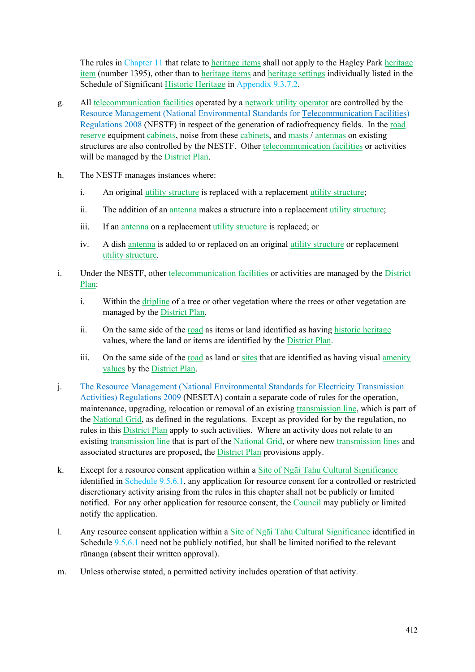The rules in Chapter 11 that relate to heritage items shall not apply to the Hagley Park heritage item (number 1395), other than to heritage items and heritage settings individually listed in the Schedule of Significant Historic Heritage in Appendix 9.3.7.2.

- g. All telecommunication facilities operated by a network utility operator are controlled by the Resource Management (National Environmental Standards for Telecommunication Facilities) Regulations 2008 (NESTF) in respect of the generation of radiofrequency fields. In the road reserve equipment cabinets, noise from these cabinets, and masts / antennas on existing structures are also controlled by the NESTF. Other telecommunication facilities or activities will be managed by the District Plan.
- h. The NESTF manages instances where:
	- i. An original utility structure is replaced with a replacement utility structure;
	- ii. The addition of an antenna makes a structure into a replacement utility structure;
	- iii. If an antenna on a replacement utility structure is replaced; or
	- iv. A dish antenna is added to or replaced on an original utility structure or replacement utility structure.
- i. Under the NESTF, other telecommunication facilities or activities are managed by the District Plan:
	- i. Within the dripline of a tree or other vegetation where the trees or other vegetation are managed by the District Plan.
	- ii. On the same side of the <u>road</u> as items or land identified as having historic heritage values, where the land or items are identified by the **District Plan**.
	- iii. On the same side of the road as land or sites that are identified as having visual amenity values by the District Plan.
- j. The Resource Management (National Environmental Standards for Electricity Transmission Activities) Regulations 2009 (NESETA) contain a separate code of rules for the operation, maintenance, upgrading, relocation or removal of an existing transmission line, which is part of the National Grid, as defined in the regulations. Except as provided for by the regulation, no rules in this District Plan apply to such activities. Where an activity does not relate to an existing transmission line that is part of the National Grid, or where new transmission lines and associated structures are proposed, the District Plan provisions apply.
- k. Except for a resource consent application within a Site of Ngāi Tahu Cultural Significance identified in Schedule 9.5.6.1, any application for resource consent for a controlled or restricted discretionary activity arising from the rules in this chapter shall not be publicly or limited notified. For any other application for resource consent, the Council may publicly or limited notify the application.
- l. Any resource consent application within a Site of Ngāi Tahu Cultural Significance identified in Schedule 9.5.6.1 need not be publicly notified, but shall be limited notified to the relevant rūnanga (absent their written approval).
- m. Unless otherwise stated, a permitted activity includes operation of that activity.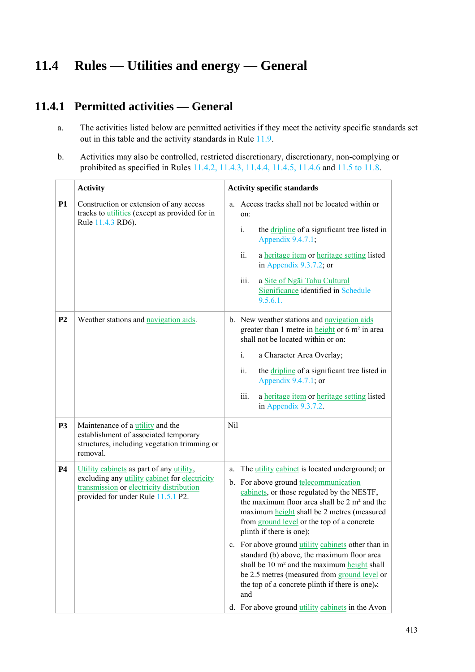# **11.4 Rules — Utilities and energy — General**

### **11.4.1 Permitted activities — General**

- a. The activities listed below are permitted activities if they meet the activity specific standards set out in this table and the activity standards in Rule 11.9.
- b. Activities may also be controlled, restricted discretionary, discretionary, non-complying or prohibited as specified in Rules 11.4.2, 11.4.3, 11.4.4, 11.4.5, 11.4.6 and 11.5 to 11.8.

|                | <b>Activity</b>                                                                                                                                                             | <b>Activity specific standards</b>                                                                                                                                                                                                                                                                                                                                                                                                                                                                                                                                                                                                                               |                                                                                                                                                                                                                                                                                                                                                    |  |  |
|----------------|-----------------------------------------------------------------------------------------------------------------------------------------------------------------------------|------------------------------------------------------------------------------------------------------------------------------------------------------------------------------------------------------------------------------------------------------------------------------------------------------------------------------------------------------------------------------------------------------------------------------------------------------------------------------------------------------------------------------------------------------------------------------------------------------------------------------------------------------------------|----------------------------------------------------------------------------------------------------------------------------------------------------------------------------------------------------------------------------------------------------------------------------------------------------------------------------------------------------|--|--|
| P1             | Construction or extension of any access<br>tracks to utilities (except as provided for in<br>Rule 11.4.3 RD6).                                                              |                                                                                                                                                                                                                                                                                                                                                                                                                                                                                                                                                                                                                                                                  | a. Access tracks shall not be located within or<br>on:<br>i.<br>the <i>dripline</i> of a significant tree listed in<br>Appendix 9.4.7.1;<br>ii.<br>a heritage item or heritage setting listed<br>in Appendix 9.3.7.2; or<br>iii.<br>a Site of Ngai Tahu Cultural<br>Significance identified in Schedule<br>9.5.6.1.                                |  |  |
| P <sub>2</sub> | Weather stations and navigation aids.                                                                                                                                       |                                                                                                                                                                                                                                                                                                                                                                                                                                                                                                                                                                                                                                                                  | b. New weather stations and navigation aids<br>greater than 1 metre in height or 6 m <sup>2</sup> in area<br>shall not be located within or on:<br>$i$ .<br>a Character Area Overlay;<br>ii.<br>the dripline of a significant tree listed in<br>Appendix 9.4.7.1; or<br>iii.<br>a heritage item or heritage setting listed<br>in Appendix 9.3.7.2. |  |  |
| <b>P3</b>      | Maintenance of a <i>utility</i> and the<br>establishment of associated temporary<br>structures, including vegetation trimming or<br>removal.                                | Nil                                                                                                                                                                                                                                                                                                                                                                                                                                                                                                                                                                                                                                                              |                                                                                                                                                                                                                                                                                                                                                    |  |  |
| <b>P4</b>      | Utility cabinets as part of any utility,<br>excluding any utility cabinet for electricity<br>transmission or electricity distribution<br>provided for under Rule 11.5.1 P2. | a. The <i>utility</i> cabinet is located underground; or<br>b. For above ground telecommunication<br>cabinets, or those regulated by the NESTF,<br>the maximum floor area shall be 2 m <sup>2</sup> and the<br>maximum height shall be 2 metres (measured<br>from ground level or the top of a concrete<br>plinth if there is one);<br>c. For above ground utility cabinets other than in<br>standard (b) above, the maximum floor area<br>shall be 10 m <sup>2</sup> and the maximum height shall<br>be 2.5 metres (measured from ground level or<br>the top of a concrete plinth if there is one).;<br>and<br>d. For above ground utility cabinets in the Avon |                                                                                                                                                                                                                                                                                                                                                    |  |  |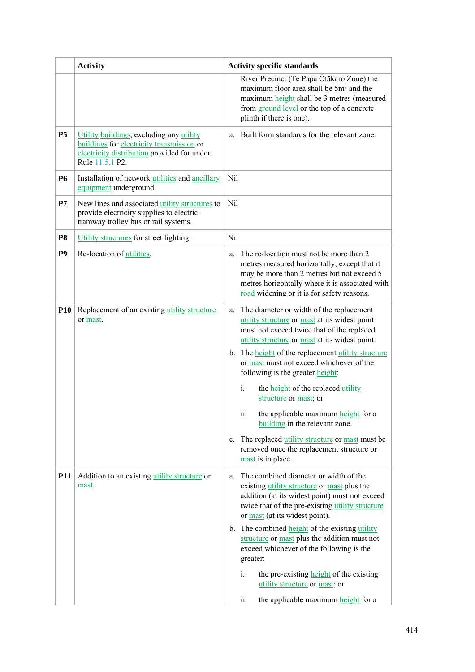|                | <b>Activity</b>                                                                                                                                         | <b>Activity specific standards</b>                                                                                                                                                                                                                                                                                                                                                                             |
|----------------|---------------------------------------------------------------------------------------------------------------------------------------------------------|----------------------------------------------------------------------------------------------------------------------------------------------------------------------------------------------------------------------------------------------------------------------------------------------------------------------------------------------------------------------------------------------------------------|
|                |                                                                                                                                                         | River Precinct (Te Papa Ōtākaro Zone) the<br>maximum floor area shall be 5m <sup>2</sup> and the<br>maximum height shall be 3 metres (measured<br>from ground level or the top of a concrete<br>plinth if there is one).                                                                                                                                                                                       |
| <b>P5</b>      | Utility buildings, excluding any utility<br>buildings for electricity transmission or<br>electricity distribution provided for under<br>Rule 11.5.1 P2. | a. Built form standards for the relevant zone.                                                                                                                                                                                                                                                                                                                                                                 |
| <b>P6</b>      | Installation of network <i>utilities</i> and <i>ancillary</i><br>equipment underground.                                                                 | Nil                                                                                                                                                                                                                                                                                                                                                                                                            |
| P7             | New lines and associated utility structures to<br>provide electricity supplies to electric<br>tramway trolley bus or rail systems.                      | Nil                                                                                                                                                                                                                                                                                                                                                                                                            |
| P <sub>8</sub> | Utility structures for street lighting.                                                                                                                 | Nil                                                                                                                                                                                                                                                                                                                                                                                                            |
| P <sub>9</sub> | Re-location of utilities.                                                                                                                               | The re-location must not be more than 2<br>a.<br>metres measured horizontally, except that it<br>may be more than 2 metres but not exceed 5<br>metres horizontally where it is associated with<br>road widening or it is for safety reasons.                                                                                                                                                                   |
| <b>P10</b>     | Replacement of an existing utility structure<br>or mast.                                                                                                | a. The diameter or width of the replacement<br>utility structure or mast at its widest point<br>must not exceed twice that of the replaced<br>utility structure or mast at its widest point.<br>b. The height of the replacement utility structure<br>or mast must not exceed whichever of the<br>following is the greater height:<br>i.<br>the <b>height</b> of the replaced utility<br>structure or mast; or |
|                |                                                                                                                                                         | the applicable maximum height for a<br>$\ddot{\mathbf{u}}$ .<br>building in the relevant zone.<br>c. The replaced utility structure or mast must be<br>removed once the replacement structure or<br>mast is in place.                                                                                                                                                                                          |
| <b>P11</b>     | Addition to an existing <i>utility</i> structure or<br>mast.                                                                                            | a. The combined diameter or width of the<br>existing utility structure or mast plus the<br>addition (at its widest point) must not exceed<br>twice that of the pre-existing utility structure<br>or mast (at its widest point).                                                                                                                                                                                |
|                |                                                                                                                                                         | b. The combined <b>height</b> of the existing utility<br>structure or mast plus the addition must not<br>exceed whichever of the following is the<br>greater:                                                                                                                                                                                                                                                  |
|                |                                                                                                                                                         | the pre-existing height of the existing<br>i.<br>utility structure or mast; or                                                                                                                                                                                                                                                                                                                                 |
|                |                                                                                                                                                         | the applicable maximum height for a<br>ii.                                                                                                                                                                                                                                                                                                                                                                     |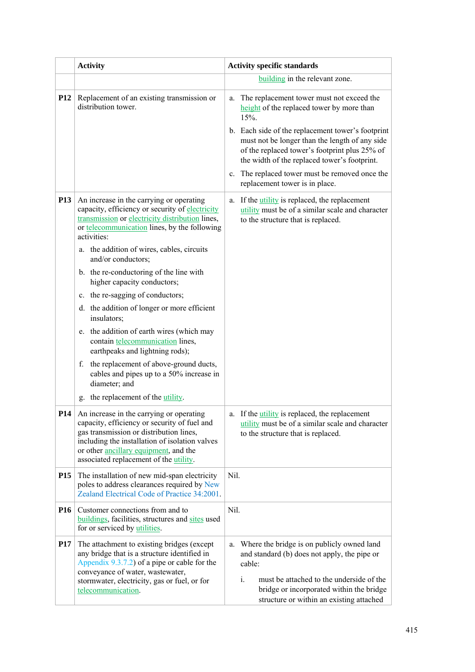|                 | <b>Activity</b>                                                                                                                                                                                                                                                                   | <b>Activity specific standards</b>                                                                                                                                                                                                                |  |
|-----------------|-----------------------------------------------------------------------------------------------------------------------------------------------------------------------------------------------------------------------------------------------------------------------------------|---------------------------------------------------------------------------------------------------------------------------------------------------------------------------------------------------------------------------------------------------|--|
|                 |                                                                                                                                                                                                                                                                                   | building in the relevant zone.                                                                                                                                                                                                                    |  |
| <b>P12</b>      | Replacement of an existing transmission or<br>distribution tower.                                                                                                                                                                                                                 | The replacement tower must not exceed the<br>a.<br>height of the replaced tower by more than<br>15%.                                                                                                                                              |  |
|                 |                                                                                                                                                                                                                                                                                   | b. Each side of the replacement tower's footprint<br>must not be longer than the length of any side<br>of the replaced tower's footprint plus 25% of<br>the width of the replaced tower's footprint.                                              |  |
|                 |                                                                                                                                                                                                                                                                                   | c. The replaced tower must be removed once the<br>replacement tower is in place.                                                                                                                                                                  |  |
| P <sub>13</sub> | An increase in the carrying or operating<br>capacity, efficiency or security of electricity<br>transmission or electricity distribution lines,<br>or telecommunication lines, by the following<br>activities:<br>a. the addition of wires, cables, circuits<br>and/or conductors; | a. If the <i>utility</i> is replaced, the replacement<br>utility must be of a similar scale and character<br>to the structure that is replaced.                                                                                                   |  |
|                 | b. the re-conductoring of the line with<br>higher capacity conductors;                                                                                                                                                                                                            |                                                                                                                                                                                                                                                   |  |
|                 | c. the re-sagging of conductors;                                                                                                                                                                                                                                                  |                                                                                                                                                                                                                                                   |  |
|                 | d. the addition of longer or more efficient<br>insulators;                                                                                                                                                                                                                        |                                                                                                                                                                                                                                                   |  |
|                 | e. the addition of earth wires (which may<br>contain telecommunication lines,<br>earthpeaks and lightning rods);                                                                                                                                                                  |                                                                                                                                                                                                                                                   |  |
|                 | f. the replacement of above-ground ducts,<br>cables and pipes up to a 50% increase in<br>diameter; and                                                                                                                                                                            |                                                                                                                                                                                                                                                   |  |
|                 | g. the replacement of the utility.                                                                                                                                                                                                                                                |                                                                                                                                                                                                                                                   |  |
| P14             | An increase in the carrying or operating<br>capacity, efficiency or security of fuel and<br>gas transmission or distribution lines,<br>including the installation of isolation valves<br>or other ancillary equipment, and the<br>associated replacement of the utility.          | a. If the <i>utility</i> is replaced, the replacement<br>utility must be of a similar scale and character<br>to the structure that is replaced.                                                                                                   |  |
| <b>P15</b>      | The installation of new mid-span electricity<br>poles to address clearances required by New<br>Zealand Electrical Code of Practice 34:2001.                                                                                                                                       | Nil.                                                                                                                                                                                                                                              |  |
| P <sub>16</sub> | Customer connections from and to<br>buildings, facilities, structures and sites used<br>for or serviced by utilities.                                                                                                                                                             | Nil.                                                                                                                                                                                                                                              |  |
| <b>P17</b>      | The attachment to existing bridges (except<br>any bridge that is a structure identified in<br>Appendix $9.3.7.2$ of a pipe or cable for the<br>conveyance of water, wastewater,<br>stormwater, electricity, gas or fuel, or for<br>telecommunication.                             | a. Where the bridge is on publicly owned land<br>and standard (b) does not apply, the pipe or<br>cable:<br>i.<br>must be attached to the underside of the<br>bridge or incorporated within the bridge<br>structure or within an existing attached |  |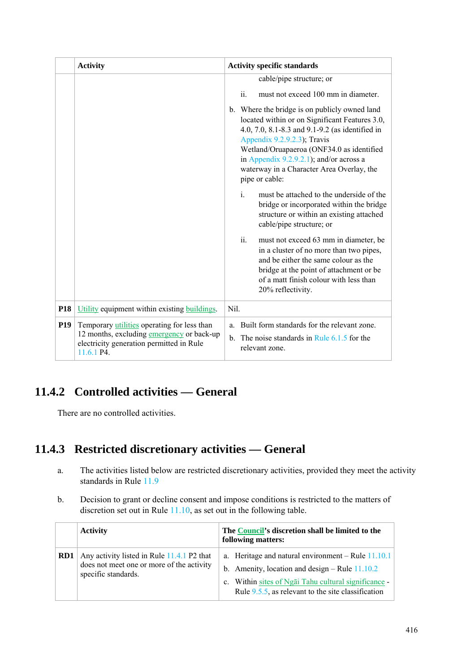|                 | <b>Activity</b>                                                                                                                                    | <b>Activity specific standards</b>                                                                                                                                                                                                                                                                                                                                                                                                                                                                                                                                                                                                                                                                |
|-----------------|----------------------------------------------------------------------------------------------------------------------------------------------------|---------------------------------------------------------------------------------------------------------------------------------------------------------------------------------------------------------------------------------------------------------------------------------------------------------------------------------------------------------------------------------------------------------------------------------------------------------------------------------------------------------------------------------------------------------------------------------------------------------------------------------------------------------------------------------------------------|
|                 |                                                                                                                                                    | cable/pipe structure; or<br>must not exceed 100 mm in diameter.<br>ii.<br>b. Where the bridge is on publicly owned land<br>located within or on Significant Features 3.0,<br>4.0, 7.0, 8.1-8.3 and 9.1-9.2 (as identified in<br>Appendix 9.2.9.2.3); Travis<br>Wetland/Oruapaeroa (ONF34.0 as identified<br>in Appendix $9.2.9.2.1$ ; and/or across a<br>waterway in a Character Area Overlay, the<br>pipe or cable:<br>$\mathbf{i}$ .<br>must be attached to the underside of the<br>bridge or incorporated within the bridge<br>structure or within an existing attached<br>cable/pipe structure; or<br>ii.<br>must not exceed 63 mm in diameter, be<br>in a cluster of no more than two pipes, |
|                 |                                                                                                                                                    | and be either the same colour as the<br>bridge at the point of attachment or be<br>of a matt finish colour with less than<br>20% reflectivity.                                                                                                                                                                                                                                                                                                                                                                                                                                                                                                                                                    |
| P <sub>18</sub> | Utility equipment within existing buildings.                                                                                                       | Nil.                                                                                                                                                                                                                                                                                                                                                                                                                                                                                                                                                                                                                                                                                              |
| P <sub>19</sub> | Temporary utilities operating for less than<br>12 months, excluding emergency or back-up<br>electricity generation permitted in Rule<br>11.6.1 P4. | Built form standards for the relevant zone.<br>a.<br>The noise standards in Rule $6.1.5$ for the<br>$\mathbf{b}$ .<br>relevant zone.                                                                                                                                                                                                                                                                                                                                                                                                                                                                                                                                                              |

# **11.4.2 Controlled activities — General**

There are no controlled activities.

## **11.4.3 Restricted discretionary activities — General**

- a. The activities listed below are restricted discretionary activities, provided they meet the activity standards in Rule 11.9
- b. Decision to grant or decline consent and impose conditions is restricted to the matters of discretion set out in Rule 11.10, as set out in the following table.

|     | <b>Activity</b>                                                                                                | The Council's discretion shall be limited to the<br>following matters:                                                                                                                                                  |
|-----|----------------------------------------------------------------------------------------------------------------|-------------------------------------------------------------------------------------------------------------------------------------------------------------------------------------------------------------------------|
| RD1 | Any activity listed in Rule 11.4.1 P2 that<br>does not meet one or more of the activity<br>specific standards. | a. Heritage and natural environment – Rule $11.10.1$<br>b. Amenity, location and design – Rule $11.10.2$<br>c. Within sites of Ngai Tahu cultural significance<br>Rule $9.5.5$ , as relevant to the site classification |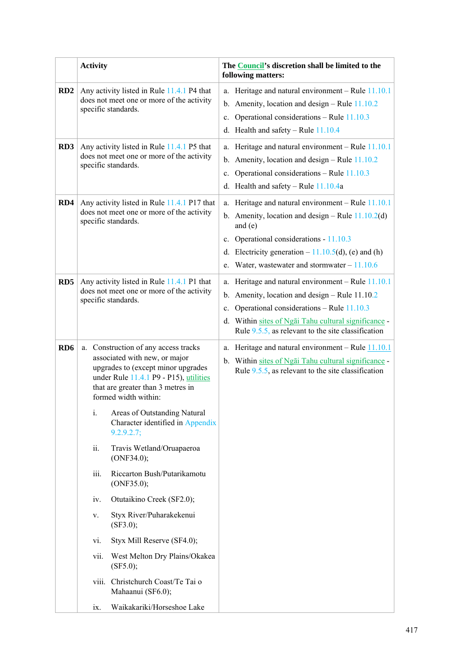|                 | <b>Activity</b>                                                                                                                                                                                                    | The Council's discretion shall be limited to the<br>following matters:                                                                                                                                                                                                              |
|-----------------|--------------------------------------------------------------------------------------------------------------------------------------------------------------------------------------------------------------------|-------------------------------------------------------------------------------------------------------------------------------------------------------------------------------------------------------------------------------------------------------------------------------------|
| RD2             | Any activity listed in Rule 11.4.1 P4 that<br>does not meet one or more of the activity<br>specific standards.                                                                                                     | a. Heritage and natural environment – Rule $11.10.1$<br>b. Amenity, location and design – Rule $11.10.2$<br>Operational considerations - Rule 11.10.3<br>$c_{\cdot}$<br>d. Health and safety – Rule $11.10.4$                                                                       |
| RD3             | Any activity listed in Rule 11.4.1 P5 that<br>does not meet one or more of the activity<br>specific standards.                                                                                                     | a. Heritage and natural environment - Rule 11.10.1<br>b. Amenity, location and design – Rule $11.10.2$<br>Operational considerations – Rule 11.10.3<br>c.<br>d. Health and safety – Rule $11.10.4a$                                                                                 |
| RD4             | Any activity listed in Rule 11.4.1 P17 that<br>does not meet one or more of the activity<br>specific standards.                                                                                                    | a. Heritage and natural environment - Rule 11.10.1<br>b. Amenity, location and design – Rule $11.10.2$ (d)<br>and $(e)$<br>c. Operational considerations - 11.10.3<br>d. Electricity generation $-11.10.5(d)$ , (e) and (h)<br>e. Water, wastewater and stormwater $-11.10.6$       |
| RD <sub>5</sub> | Any activity listed in Rule 11.4.1 P1 that<br>does not meet one or more of the activity<br>specific standards.                                                                                                     | a. Heritage and natural environment - Rule 11.10.1<br>b. Amenity, location and design $-$ Rule 11.10.2<br>Operational considerations - Rule 11.10.3<br>$c_{\cdot}$<br>d. Within sites of Ngai Tahu cultural significance -<br>Rule $9.5.5$ , as relevant to the site classification |
| RD <sub>6</sub> | a. Construction of any access tracks<br>associated with new, or major<br>upgrades to (except minor upgrades<br>under Rule 11.4.1 P9 - P15), utilities<br>that are greater than 3 metres in<br>formed width within: | a. Heritage and natural environment - Rule $11.10.1$<br>b. Within sites of Ngai Tahu cultural significance -<br>Rule $9.5.5$ , as relevant to the site classification                                                                                                               |
|                 | i. Areas of Outstanding Natural<br>Character identified in Appendix<br>9.2.9.2.7;                                                                                                                                  |                                                                                                                                                                                                                                                                                     |
|                 | Travis Wetland/Oruapaeroa<br>ii.<br>(ONF34.0);                                                                                                                                                                     |                                                                                                                                                                                                                                                                                     |
|                 | Riccarton Bush/Putarikamotu<br>iii.<br>(ONF35.0);                                                                                                                                                                  |                                                                                                                                                                                                                                                                                     |
|                 | Otutaikino Creek (SF2.0);<br>iv.<br>Styx River/Puharakekenui                                                                                                                                                       |                                                                                                                                                                                                                                                                                     |
|                 | V.<br>(SF3.0);                                                                                                                                                                                                     |                                                                                                                                                                                                                                                                                     |
|                 | Styx Mill Reserve (SF4.0);<br>vi.                                                                                                                                                                                  |                                                                                                                                                                                                                                                                                     |
|                 | West Melton Dry Plains/Okakea<br>vii.<br>(SF5.0);                                                                                                                                                                  |                                                                                                                                                                                                                                                                                     |
|                 | viii. Christchurch Coast/Te Tai o<br>Mahaanui (SF6.0);                                                                                                                                                             |                                                                                                                                                                                                                                                                                     |
|                 | Waikakariki/Horseshoe Lake<br>$\overline{1}X$ .                                                                                                                                                                    |                                                                                                                                                                                                                                                                                     |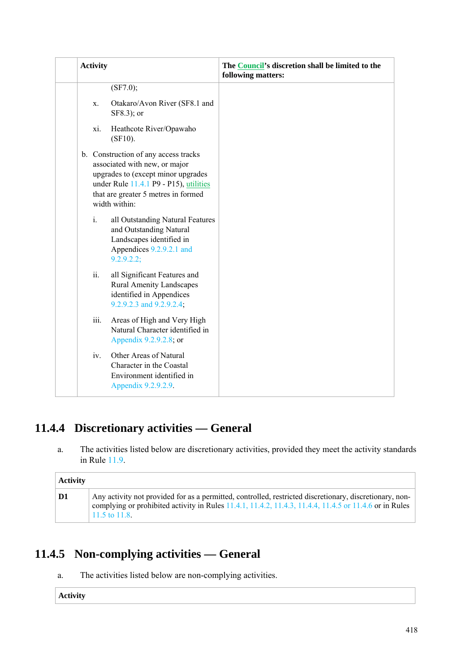| <b>Activity</b> |                                                                                                                                                                                                               | The Council's discretion shall be limited to the<br>following matters: |
|-----------------|---------------------------------------------------------------------------------------------------------------------------------------------------------------------------------------------------------------|------------------------------------------------------------------------|
|                 | (SF7.0);                                                                                                                                                                                                      |                                                                        |
| X.              | Otakaro/Avon River (SF8.1 and<br>SF8.3); or                                                                                                                                                                   |                                                                        |
| xi.             | Heathcote River/Opawaho<br>$(SF10)$ .                                                                                                                                                                         |                                                                        |
|                 | b. Construction of any access tracks<br>associated with new, or major<br>upgrades to (except minor upgrades<br>under Rule 11.4.1 P9 - P15), utilities<br>that are greater 5 metres in formed<br>width within: |                                                                        |
| $i$ .           | all Outstanding Natural Features<br>and Outstanding Natural<br>Landscapes identified in<br>Appendices 9.2.9.2.1 and<br>9.2.9.2.2;                                                                             |                                                                        |
| ii.             | all Significant Features and<br><b>Rural Amenity Landscapes</b><br>identified in Appendices<br>9.2.9.2.3 and 9.2.9.2.4;                                                                                       |                                                                        |
| iii.            | Areas of High and Very High<br>Natural Character identified in<br>Appendix 9.2.9.2.8; or                                                                                                                      |                                                                        |
| iv.             | Other Areas of Natural<br>Character in the Coastal<br>Environment identified in<br>Appendix 9.2.9.2.9.                                                                                                        |                                                                        |

# **11.4.4 Discretionary activities — General**

a. The activities listed below are discretionary activities, provided they meet the activity standards in Rule 11.9.

| <b>Activity</b> |                                                                                                                                                                                                                                                    |
|-----------------|----------------------------------------------------------------------------------------------------------------------------------------------------------------------------------------------------------------------------------------------------|
| D1              | Any activity not provided for as a permitted, controlled, restricted discretionary, discretionary, non-<br>complying or prohibited activity in Rules $11.4.1$ , $11.4.2$ , $11.4.3$ , $11.4.4$ , $11.4.5$ or $11.4.6$ or in Rules<br>11.5 to 11.8. |

# **11.4.5 Non-complying activities — General**

a. The activities listed below are non-complying activities.

**Activity**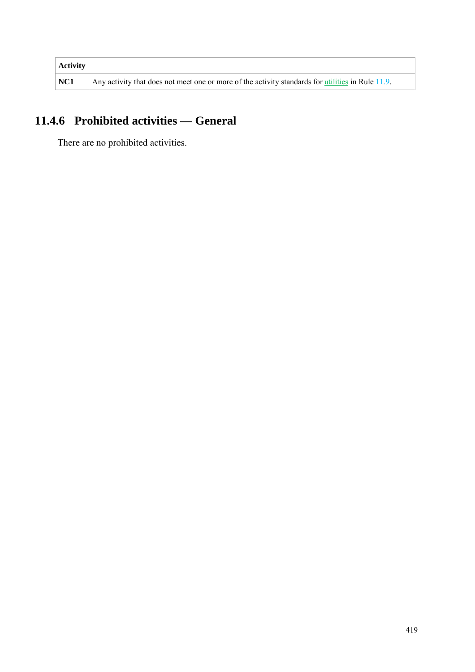| <b>Activity</b> |                                                                                                   |
|-----------------|---------------------------------------------------------------------------------------------------|
| NC1             | Any activity that does not meet one or more of the activity standards for utilities in Rule 11.9. |

# **11.4.6 Prohibited activities — General**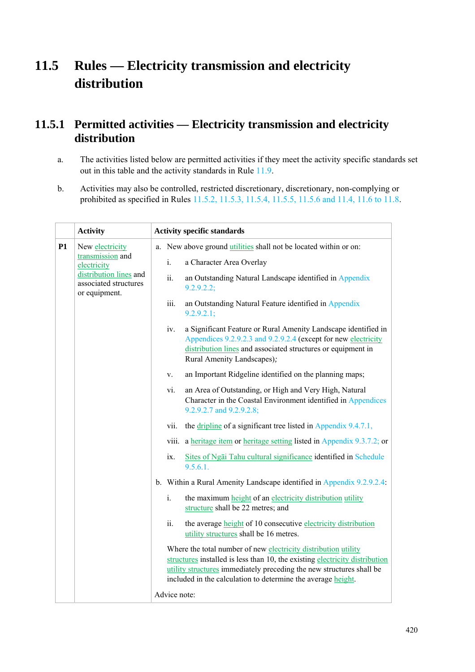# **11.5 Rules — Electricity transmission and electricity distribution**

## **11.5.1 Permitted activities — Electricity transmission and electricity distribution**

- a. The activities listed below are permitted activities if they meet the activity specific standards set out in this table and the activity standards in Rule 11.9.
- b. Activities may also be controlled, restricted discretionary, discretionary, non-complying or prohibited as specified in Rules 11.5.2, 11.5.3, 11.5.4, 11.5.5, 11.5.6 and 11.4, 11.6 to 11.8.

|    | <b>Activity</b>                                                  | <b>Activity specific standards</b> |                                                                                                                                                                                                                                                                                       |
|----|------------------------------------------------------------------|------------------------------------|---------------------------------------------------------------------------------------------------------------------------------------------------------------------------------------------------------------------------------------------------------------------------------------|
| P1 | New electricity                                                  |                                    | a. New above ground <i>utilities</i> shall not be located within or on:                                                                                                                                                                                                               |
|    | transmission and<br>electricity                                  | i.                                 | a Character Area Overlay                                                                                                                                                                                                                                                              |
|    | distribution lines and<br>associated structures<br>or equipment. | ii.                                | an Outstanding Natural Landscape identified in Appendix<br>9.2.9.2.2;                                                                                                                                                                                                                 |
|    |                                                                  | iii.                               | an Outstanding Natural Feature identified in Appendix<br>$9.2.9.2.1$ ;                                                                                                                                                                                                                |
|    |                                                                  | iv.                                | a Significant Feature or Rural Amenity Landscape identified in<br>Appendices 9.2.9.2.3 and 9.2.9.2.4 (except for new electricity<br>distribution lines and associated structures or equipment in<br>Rural Amenity Landscapes);                                                        |
|    |                                                                  | V.                                 | an Important Ridgeline identified on the planning maps;                                                                                                                                                                                                                               |
|    |                                                                  | vi.                                | an Area of Outstanding, or High and Very High, Natural<br>Character in the Coastal Environment identified in Appendices<br>9.2.9.2.7 and 9.2.9.2.8;                                                                                                                                   |
|    |                                                                  | vii.                               | the dripline of a significant tree listed in Appendix 9.4.7.1,                                                                                                                                                                                                                        |
|    |                                                                  | viii.                              | a heritage item or heritage setting listed in Appendix 9.3.7.2; or                                                                                                                                                                                                                    |
|    |                                                                  | ix.                                | Sites of Ngai Tahu cultural significance identified in Schedule<br>9.5.6.1.                                                                                                                                                                                                           |
|    |                                                                  |                                    | b. Within a Rural Amenity Landscape identified in Appendix 9.2.9.2.4:                                                                                                                                                                                                                 |
|    |                                                                  | i.                                 | the maximum height of an electricity distribution utility<br>structure shall be 22 metres; and                                                                                                                                                                                        |
|    |                                                                  | ii.                                | the average <b>height</b> of 10 consecutive electricity distribution<br>utility structures shall be 16 metres.                                                                                                                                                                        |
|    |                                                                  |                                    | Where the total number of new electricity distribution utility<br>structures installed is less than 10, the existing electricity distribution<br>utility structures immediately preceding the new structures shall be<br>included in the calculation to determine the average height. |
|    |                                                                  | Advice note:                       |                                                                                                                                                                                                                                                                                       |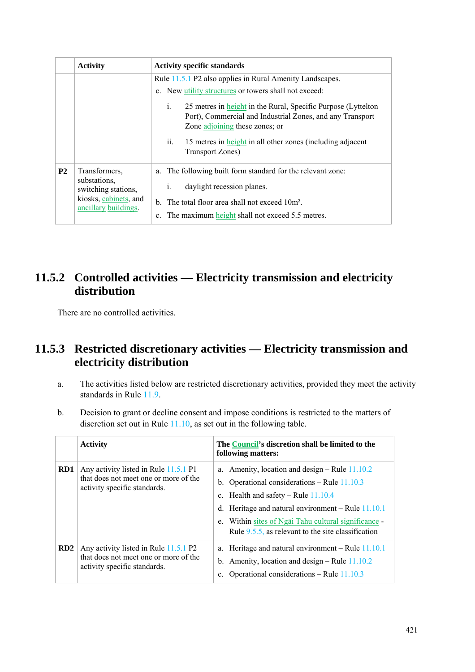|           | <b>Activity</b>                                                                      | <b>Activity specific standards</b>                                                                                                                                 |  |
|-----------|--------------------------------------------------------------------------------------|--------------------------------------------------------------------------------------------------------------------------------------------------------------------|--|
|           |                                                                                      | Rule 11.5.1 P2 also applies in Rural Amenity Landscapes.                                                                                                           |  |
|           |                                                                                      | c. New <i>utility</i> structures or towers shall not exceed:                                                                                                       |  |
|           |                                                                                      | 25 metres in height in the Rural, Specific Purpose (Lyttelton<br>Ĺ.<br>Port), Commercial and Industrial Zones, and any Transport<br>Zone adjoining these zones; or |  |
|           |                                                                                      | ii.<br>15 metres in height in all other zones (including adjacent<br>Transport Zones)                                                                              |  |
| <b>P2</b> | Transformers,                                                                        | a. The following built form standard for the relevant zone:                                                                                                        |  |
|           | substations.<br>switching stations,<br>kiosks, cabinets, and<br>ancillary buildings. | daylight recession planes.<br>$\mathbf{1}$ .                                                                                                                       |  |
|           |                                                                                      | b. The total floor area shall not exceed $10m^2$ .                                                                                                                 |  |
|           |                                                                                      | The maximum height shall not exceed 5.5 metres.<br>$c_{-}$                                                                                                         |  |

## **11.5.2 Controlled activities — Electricity transmission and electricity distribution**

There are no controlled activities.

## **11.5.3 Restricted discretionary activities — Electricity transmission and electricity distribution**

- a. The activities listed below are restricted discretionary activities, provided they meet the activity standards in Rule 11.9.
- b. Decision to grant or decline consent and impose conditions is restricted to the matters of discretion set out in Rule 11.10, as set out in the following table.

|                 | <b>Activity</b>                                                                                                | The Council's discretion shall be limited to the<br>following matters:                                                                                                                                                                                                                                              |
|-----------------|----------------------------------------------------------------------------------------------------------------|---------------------------------------------------------------------------------------------------------------------------------------------------------------------------------------------------------------------------------------------------------------------------------------------------------------------|
| RD1             | Any activity listed in Rule 11.5.1 P1<br>that does not meet one or more of the<br>activity specific standards. | a. Amenity, location and design – Rule $11.10.2$<br>b. Operational considerations – Rule $11.10.3$<br>c. Health and safety – Rule $11.10.4$<br>Heritage and natural environment - Rule 11.10.1<br>d.<br>e. Within sites of Ngai Tahu cultural significance<br>Rule $9.5.5$ , as relevant to the site classification |
| RD <sub>2</sub> | Any activity listed in Rule 11.5.1 P2<br>that does not meet one or more of the<br>activity specific standards. | a. Heritage and natural environment – Rule $11.10.1$<br>b. Amenity, location and design – Rule $11.10.2$<br>Operational considerations – Rule $11.10.3$<br>$\mathbf{c}$ .                                                                                                                                           |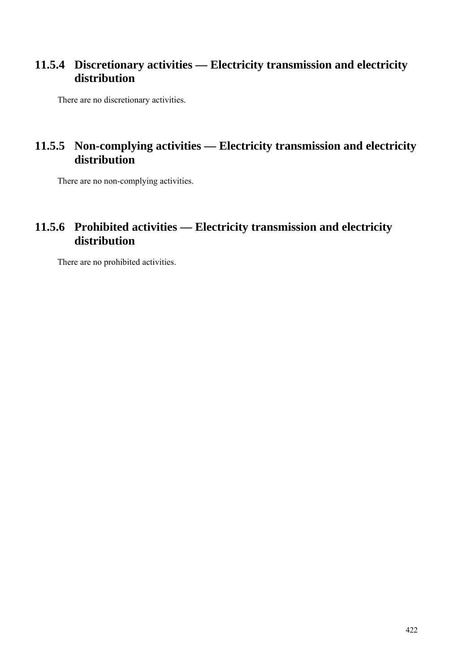### **11.5.4 Discretionary activities — Electricity transmission and electricity distribution**

There are no discretionary activities.

### **11.5.5 Non-complying activities — Electricity transmission and electricity distribution**

There are no non-complying activities.

## **11.5.6 Prohibited activities — Electricity transmission and electricity distribution**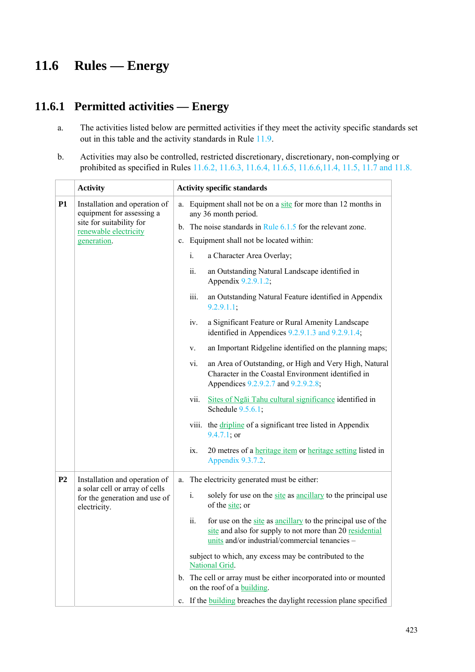# **11.6 Rules — Energy**

# **11.6.1 Permitted activities — Energy**

- a. The activities listed below are permitted activities if they meet the activity specific standards set out in this table and the activity standards in Rule 11.9.
- b. Activities may also be controlled, restricted discretionary, discretionary, non-complying or prohibited as specified in Rules 11.6.2, 11.6.3, 11.6.4, 11.6.5, 11.6.6,11.4, 11.5, 11.7 and 11.8.

|                | <b>Activity</b>                                                                 |                | <b>Activity specific standards</b>                                                                                                                                                |  |  |  |  |
|----------------|---------------------------------------------------------------------------------|----------------|-----------------------------------------------------------------------------------------------------------------------------------------------------------------------------------|--|--|--|--|
| <b>P1</b>      | Installation and operation of<br>equipment for assessing a                      | a.             | Equipment shall not be on a site for more than 12 months in<br>any 36 month period.                                                                                               |  |  |  |  |
|                | site for suitability for<br>renewable electricity                               |                | b. The noise standards in Rule $6.1.5$ for the relevant zone.                                                                                                                     |  |  |  |  |
|                | generation.                                                                     | $\mathbf{c}$ . | Equipment shall not be located within:                                                                                                                                            |  |  |  |  |
|                |                                                                                 |                | i.<br>a Character Area Overlay;                                                                                                                                                   |  |  |  |  |
|                |                                                                                 |                | ii.<br>an Outstanding Natural Landscape identified in<br>Appendix 9.2.9.1.2;                                                                                                      |  |  |  |  |
|                |                                                                                 |                | an Outstanding Natural Feature identified in Appendix<br>iii.<br>9.2.9.1.1;                                                                                                       |  |  |  |  |
|                |                                                                                 |                | a Significant Feature or Rural Amenity Landscape<br>iv.<br>identified in Appendices 9.2.9.1.3 and 9.2.9.1.4;                                                                      |  |  |  |  |
|                |                                                                                 |                | an Important Ridgeline identified on the planning maps;<br>V.                                                                                                                     |  |  |  |  |
|                |                                                                                 |                | an Area of Outstanding, or High and Very High, Natural<br>vi.<br>Character in the Coastal Environment identified in<br>Appendices 9.2.9.2.7 and 9.2.9.2.8;                        |  |  |  |  |
|                |                                                                                 |                | Sites of Ngai Tahu cultural significance identified in<br>vii.<br>Schedule 9.5.6.1;                                                                                               |  |  |  |  |
|                |                                                                                 |                | the dripline of a significant tree listed in Appendix<br><b>VIII.</b><br>$9.4.7.1;$ or                                                                                            |  |  |  |  |
|                |                                                                                 |                | 20 metres of a heritage item or heritage setting listed in<br>ix.<br>Appendix 9.3.7.2.                                                                                            |  |  |  |  |
| P <sub>2</sub> | Installation and operation of                                                   | a.             | The electricity generated must be either:                                                                                                                                         |  |  |  |  |
|                | a solar cell or array of cells<br>for the generation and use of<br>electricity. |                | i.<br>solely for use on the site as ancillary to the principal use<br>of the site; or                                                                                             |  |  |  |  |
|                |                                                                                 |                | ii.<br>for use on the site as ancillary to the principal use of the<br>site and also for supply to not more than 20 residential<br>units and/or industrial/commercial tenancies - |  |  |  |  |
|                |                                                                                 |                | subject to which, any excess may be contributed to the<br>National Grid.                                                                                                          |  |  |  |  |
|                |                                                                                 |                | b. The cell or array must be either incorporated into or mounted<br>on the roof of a building.                                                                                    |  |  |  |  |
|                |                                                                                 |                | c. If the <b>building</b> breaches the daylight recession plane specified                                                                                                         |  |  |  |  |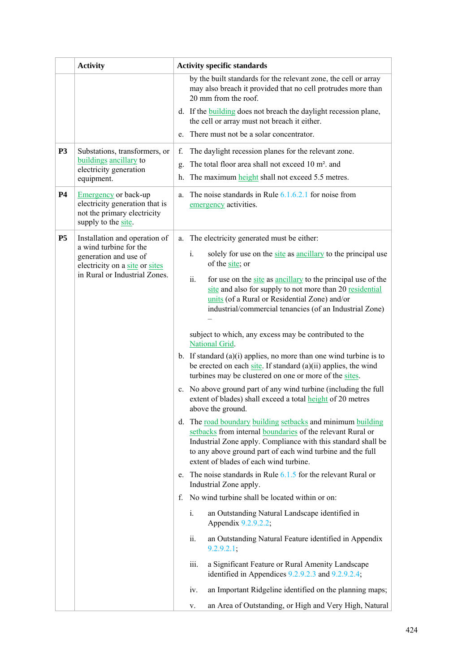|                | <b>Activity</b>                                                                                                                                     | <b>Activity specific standards</b>                                                                                                                                                                                                                                                                                                                                                                                                                                                                                                                                                                                                                                                                                                                                                                                            |
|----------------|-----------------------------------------------------------------------------------------------------------------------------------------------------|-------------------------------------------------------------------------------------------------------------------------------------------------------------------------------------------------------------------------------------------------------------------------------------------------------------------------------------------------------------------------------------------------------------------------------------------------------------------------------------------------------------------------------------------------------------------------------------------------------------------------------------------------------------------------------------------------------------------------------------------------------------------------------------------------------------------------------|
|                |                                                                                                                                                     | by the built standards for the relevant zone, the cell or array<br>may also breach it provided that no cell protrudes more than<br>20 mm from the roof.                                                                                                                                                                                                                                                                                                                                                                                                                                                                                                                                                                                                                                                                       |
|                |                                                                                                                                                     | d. If the <b>building</b> does not breach the daylight recession plane,<br>the cell or array must not breach it either.                                                                                                                                                                                                                                                                                                                                                                                                                                                                                                                                                                                                                                                                                                       |
|                |                                                                                                                                                     | There must not be a solar concentrator.<br>e.                                                                                                                                                                                                                                                                                                                                                                                                                                                                                                                                                                                                                                                                                                                                                                                 |
| P <sub>3</sub> | Substations, transformers, or<br>buildings ancillary to<br>electricity generation<br>equipment.                                                     | The daylight recession planes for the relevant zone.<br>f.<br>The total floor area shall not exceed 10 m <sup>2</sup> , and<br>g.<br>The maximum height shall not exceed 5.5 metres.<br>h.                                                                                                                                                                                                                                                                                                                                                                                                                                                                                                                                                                                                                                    |
| <b>P4</b>      | <b>Emergency</b> or back-up<br>electricity generation that is<br>not the primary electricity<br>supply to the site.                                 | The noise standards in Rule $6.1.6.2.1$ for noise from<br>a.<br>emergency activities.                                                                                                                                                                                                                                                                                                                                                                                                                                                                                                                                                                                                                                                                                                                                         |
| <b>P5</b>      | Installation and operation of<br>a wind turbine for the<br>generation and use of<br>electricity on a site or sites<br>in Rural or Industrial Zones. | The electricity generated must be either:<br>a.<br>solely for use on the site as ancillary to the principal use<br>$\mathbf{i}$ .<br>of the site; or<br>ii.<br>for use on the site as ancillary to the principal use of the<br>site and also for supply to not more than 20 residential<br>units (of a Rural or Residential Zone) and/or<br>industrial/commercial tenancies (of an Industrial Zone)<br>subject to which, any excess may be contributed to the<br>National Grid.<br>b. If standard $(a)(i)$ applies, no more than one wind turbine is to<br>be erected on each site. If standard $(a)(ii)$ applies, the wind<br>turbines may be clustered on one or more of the sites.<br>c. No above ground part of any wind turbine (including the full<br>extent of blades) shall exceed a total <b>height</b> of 20 metres |
|                |                                                                                                                                                     | above the ground.<br>d. The road boundary building setbacks and minimum building<br>setbacks from internal boundaries of the relevant Rural or<br>Industrial Zone apply. Compliance with this standard shall be<br>to any above ground part of each wind turbine and the full<br>extent of blades of each wind turbine.<br>e. The noise standards in Rule $6.1.5$ for the relevant Rural or<br>Industrial Zone apply.<br>f. No wind turbine shall be located within or on:<br>an Outstanding Natural Landscape identified in<br>i.<br>Appendix 9.2.9.2.2;<br>an Outstanding Natural Feature identified in Appendix<br>ii.<br>9.2.9.2.1;<br>iii.<br>a Significant Feature or Rural Amenity Landscape<br>identified in Appendices 9.2.9.2.3 and 9.2.9.2.4;<br>an Important Ridgeline identified on the planning maps;<br>IV.    |
|                |                                                                                                                                                     | an Area of Outstanding, or High and Very High, Natural<br>V.                                                                                                                                                                                                                                                                                                                                                                                                                                                                                                                                                                                                                                                                                                                                                                  |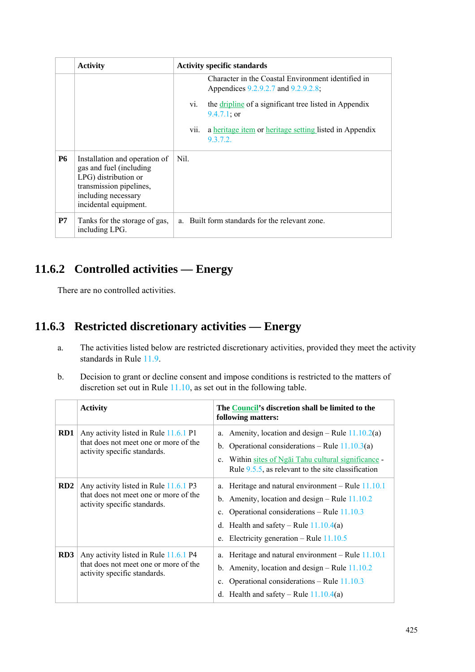|           | <b>Activity</b>                                                                                                                                             | <b>Activity specific standards</b>                                                                                                                                                                                                                        |  |
|-----------|-------------------------------------------------------------------------------------------------------------------------------------------------------------|-----------------------------------------------------------------------------------------------------------------------------------------------------------------------------------------------------------------------------------------------------------|--|
|           |                                                                                                                                                             | Character in the Coastal Environment identified in<br>Appendices 9.2.9.2.7 and 9.2.9.2.8;<br>the dripline of a significant tree listed in Appendix<br>Vl.<br>$9.4.7.1$ ; or<br>a heritage item or heritage setting listed in Appendix<br>V11.<br>9.3.7.2. |  |
| <b>P6</b> | Installation and operation of<br>gas and fuel (including<br>LPG) distribution or<br>transmission pipelines,<br>including necessary<br>incidental equipment. | Nil.                                                                                                                                                                                                                                                      |  |
| P7        | Tanks for the storage of gas,<br>including LPG.                                                                                                             | a. Built form standards for the relevant zone.                                                                                                                                                                                                            |  |

# **11.6.2 Controlled activities — Energy**

There are no controlled activities.

## **11.6.3 Restricted discretionary activities — Energy**

- a. The activities listed below are restricted discretionary activities, provided they meet the activity standards in Rule 11.9.
- b. Decision to grant or decline consent and impose conditions is restricted to the matters of discretion set out in Rule 11.10, as set out in the following table.

|                 | <b>Activity</b>                                                                                                | The Council's discretion shall be limited to the<br>following matters:                                                                                                                                                                                          |
|-----------------|----------------------------------------------------------------------------------------------------------------|-----------------------------------------------------------------------------------------------------------------------------------------------------------------------------------------------------------------------------------------------------------------|
| RD1             | Any activity listed in Rule 11.6.1 P1<br>that does not meet one or more of the<br>activity specific standards. | Amenity, location and design – Rule $11.10.2(a)$<br>a.<br>Operational considerations – Rule $11.10.3(a)$<br>$b_{\cdot}$<br>Within sites of Ngai Tahu cultural significance -<br>$\mathbf{c}$ .<br>Rule $9.5.5$ , as relevant to the site classification         |
| RD2             | Any activity listed in Rule 11.6.1 P3<br>that does not meet one or more of the<br>activity specific standards. | a. Heritage and natural environment – Rule $11.10.1$<br>b. Amenity, location and design – Rule $11.10.2$<br>Operational considerations – Rule $11.10.3$<br>$c_{-}$<br>d. Health and safety – Rule $11.10.4(a)$<br>Electricity generation – Rule $11.10.5$<br>e. |
| RD <sub>3</sub> | Any activity listed in Rule 11.6.1 P4<br>that does not meet one or more of the<br>activity specific standards. | Heritage and natural environment – Rule $11.10.1$<br>a.<br>b. Amenity, location and design – Rule $11.10.2$<br>Operational considerations – Rule $11.10.3$<br>$c_{-}$<br>Health and safety – Rule $11.10.4(a)$<br>d.                                            |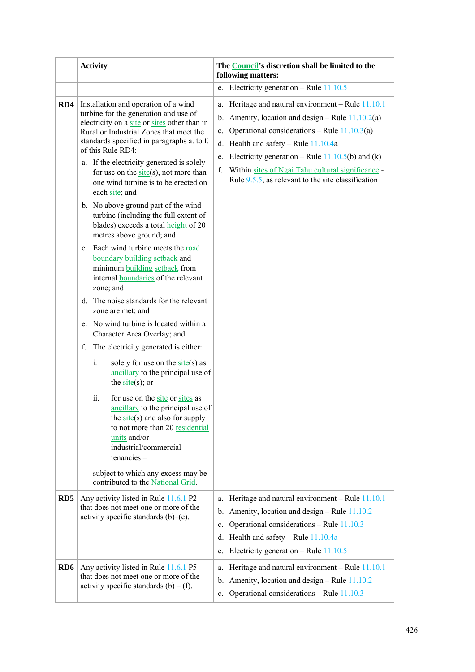|                  | <b>Activity</b>                                                                                                                                                                                                                                                                                                                                                                                                                                                                                                                                                                                                                                                                                    | The Council's discretion shall be limited to the<br>following matters:                                                                                                                                                                                                                                                                                                                                     |
|------------------|----------------------------------------------------------------------------------------------------------------------------------------------------------------------------------------------------------------------------------------------------------------------------------------------------------------------------------------------------------------------------------------------------------------------------------------------------------------------------------------------------------------------------------------------------------------------------------------------------------------------------------------------------------------------------------------------------|------------------------------------------------------------------------------------------------------------------------------------------------------------------------------------------------------------------------------------------------------------------------------------------------------------------------------------------------------------------------------------------------------------|
|                  |                                                                                                                                                                                                                                                                                                                                                                                                                                                                                                                                                                                                                                                                                                    | e. Electricity generation – Rule $11.10.5$                                                                                                                                                                                                                                                                                                                                                                 |
| RD4              | Installation and operation of a wind<br>turbine for the generation and use of<br>electricity on a site or sites other than in<br>Rural or Industrial Zones that meet the<br>standards specified in paragraphs a. to f.<br>of this Rule RD4:<br>a. If the electricity generated is solely<br>for use on the $site(s)$ , not more than<br>one wind turbine is to be erected on<br>each site; and<br>b. No above ground part of the wind<br>turbine (including the full extent of<br>blades) exceeds a total height of 20<br>metres above ground; and<br>c. Each wind turbine meets the road<br>boundary building setback and<br>minimum building setback from<br>internal boundaries of the relevant | Heritage and natural environment - Rule 11.10.1<br>a.<br>b. Amenity, location and design – Rule $11.10.2(a)$<br>Operational considerations – Rule $11.10.3(a)$<br>$\mathbf{c}$ .<br>d. Health and safety – Rule $11.10.4a$<br>Electricity generation – Rule $11.10.5(b)$ and (k)<br>e.<br>Within sites of Ngai Tahu cultural significance -<br>f.<br>Rule $9.5.5$ , as relevant to the site classification |
|                  | zone; and<br>d. The noise standards for the relevant<br>zone are met; and<br>e. No wind turbine is located within a<br>Character Area Overlay; and<br>The electricity generated is either:<br>f.<br>solely for use on the $site(s)$ as<br>i.<br>ancillary to the principal use of<br>the $site(s)$ ; or<br>ii.<br>for use on the site or sites as<br>ancillary to the principal use of                                                                                                                                                                                                                                                                                                             |                                                                                                                                                                                                                                                                                                                                                                                                            |
|                  | the $\frac{\text{site}}{\text{site}}$ and also for supply<br>to not more than 20 residential<br>units and/or<br>industrial/commercial<br>$t$ enancies $-$<br>subject to which any excess may be<br>contributed to the National Grid.                                                                                                                                                                                                                                                                                                                                                                                                                                                               |                                                                                                                                                                                                                                                                                                                                                                                                            |
| R <sub>D</sub> 5 | Any activity listed in Rule 11.6.1 P2<br>that does not meet one or more of the<br>activity specific standards $(b)$ – $(e)$ .                                                                                                                                                                                                                                                                                                                                                                                                                                                                                                                                                                      | Heritage and natural environment - Rule 11.10.1<br>a.<br>Amenity, location and design – Rule 11.10.2<br>$\mathbf{b}$ .<br>Operational considerations – Rule 11.10.3<br>$\mathbf{c}$ .<br>Health and safety - Rule 11.10.4a<br>d.<br>Electricity generation – Rule $11.10.5$<br>e.                                                                                                                          |
| RD <sub>6</sub>  | Any activity listed in Rule 11.6.1 P5<br>that does not meet one or more of the<br>activity specific standards $(b) - (f)$ .                                                                                                                                                                                                                                                                                                                                                                                                                                                                                                                                                                        | a. Heritage and natural environment - Rule 11.10.1<br>Amenity, location and design – Rule 11.10.2<br>b.<br>Operational considerations – Rule 11.10.3<br>$\mathbf{c}$ .                                                                                                                                                                                                                                     |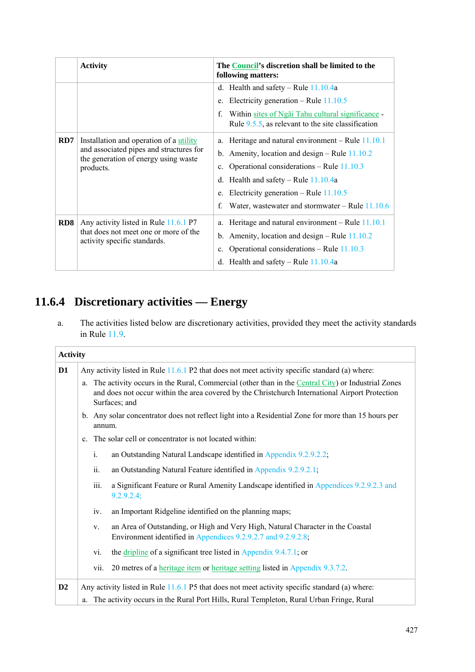|                 | <b>Activity</b>                                                                                                                         | The Council's discretion shall be limited to the<br>following matters:                                                                                                                                                                                                                                            |
|-----------------|-----------------------------------------------------------------------------------------------------------------------------------------|-------------------------------------------------------------------------------------------------------------------------------------------------------------------------------------------------------------------------------------------------------------------------------------------------------------------|
|                 |                                                                                                                                         | d. Health and safety – Rule $11.10.4a$<br>Electricity generation – Rule $11.10.5$<br>e.<br>$\mathbf{f}$<br>Within sites of Ngai Tahu cultural significance -                                                                                                                                                      |
|                 |                                                                                                                                         | Rule $9.5.5$ , as relevant to the site classification                                                                                                                                                                                                                                                             |
| RD7             | Installation and operation of a utility<br>and associated pipes and structures for<br>the generation of energy using waste<br>products. | a. Heritage and natural environment – Rule $11.10.1$<br>b. Amenity, location and design – Rule $11.10.2$<br>c. Operational considerations – Rule $11.10.3$<br>d. Health and safety – Rule $11.10.4a$<br>Electricity generation – Rule $11.10.5$<br>e.<br>f.<br>Water, was tewater and stormwater – Rule $11.10.6$ |
| RD <sub>8</sub> | Any activity listed in Rule 11.6.1 P7<br>that does not meet one or more of the<br>activity specific standards.                          | Heritage and natural environment – Rule $11.10.1$<br>a.<br>b. Amenity, location and design – Rule $11.10.2$<br>Operational considerations - Rule 11.10.3<br>$c_{-}$<br>d. Health and safety – Rule $11.10.4a$                                                                                                     |

# **11.6.4 Discretionary activities — Energy**

a. The activities listed below are discretionary activities, provided they meet the activity standards in Rule 11.9.

| <b>Activity</b> |    |                                                                                                |                                                                                                                                                                                                                          |  |  |  |  |  |
|-----------------|----|------------------------------------------------------------------------------------------------|--------------------------------------------------------------------------------------------------------------------------------------------------------------------------------------------------------------------------|--|--|--|--|--|
| D1              |    | Any activity listed in Rule 11.6.1 P2 that does not meet activity specific standard (a) where: |                                                                                                                                                                                                                          |  |  |  |  |  |
|                 |    |                                                                                                | a. The activity occurs in the Rural, Commercial (other than in the Central City) or Industrial Zones<br>and does not occur within the area covered by the Christchurch International Airport Protection<br>Surfaces; and |  |  |  |  |  |
|                 |    | annum.                                                                                         | b. Any solar concentrator does not reflect light into a Residential Zone for more than 15 hours per                                                                                                                      |  |  |  |  |  |
|                 |    |                                                                                                | c. The solar cell or concentrator is not located within:                                                                                                                                                                 |  |  |  |  |  |
|                 |    | $\mathbf{i}$ .                                                                                 | an Outstanding Natural Landscape identified in Appendix 9.2.9.2.2;                                                                                                                                                       |  |  |  |  |  |
|                 |    | ii.                                                                                            | an Outstanding Natural Feature identified in Appendix 9.2.9.2.1;                                                                                                                                                         |  |  |  |  |  |
|                 |    | iii.                                                                                           | a Significant Feature or Rural Amenity Landscape identified in Appendices 9.2.9.2.3 and<br>9.2.9.2.4;                                                                                                                    |  |  |  |  |  |
|                 |    | iv.                                                                                            | an Important Ridgeline identified on the planning maps;                                                                                                                                                                  |  |  |  |  |  |
|                 |    | V.                                                                                             | an Area of Outstanding, or High and Very High, Natural Character in the Coastal<br>Environment identified in Appendices 9.2.9.2.7 and 9.2.9.2.8;                                                                         |  |  |  |  |  |
|                 |    | vi.                                                                                            | the dripline of a significant tree listed in Appendix 9.4.7.1; or                                                                                                                                                        |  |  |  |  |  |
|                 |    | vii.                                                                                           | 20 metres of a heritage item or heritage setting listed in Appendix 9.3.7.2.                                                                                                                                             |  |  |  |  |  |
| D2              |    |                                                                                                | Any activity listed in Rule 11.6.1 P5 that does not meet activity specific standard (a) where:                                                                                                                           |  |  |  |  |  |
|                 | a. |                                                                                                | The activity occurs in the Rural Port Hills, Rural Templeton, Rural Urban Fringe, Rural                                                                                                                                  |  |  |  |  |  |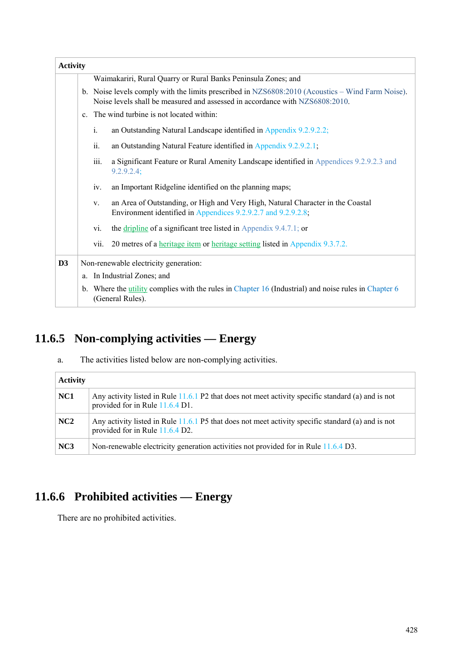| <b>Activity</b> |                                                                                                                                                                                  |                                                                                                                                                  |  |  |  |  |  |
|-----------------|----------------------------------------------------------------------------------------------------------------------------------------------------------------------------------|--------------------------------------------------------------------------------------------------------------------------------------------------|--|--|--|--|--|
|                 | Waimakariri, Rural Quarry or Rural Banks Peninsula Zones; and                                                                                                                    |                                                                                                                                                  |  |  |  |  |  |
|                 | b. Noise levels comply with the limits prescribed in NZS6808:2010 (Acoustics – Wind Farm Noise).<br>Noise levels shall be measured and assessed in accordance with NZS6808:2010. |                                                                                                                                                  |  |  |  |  |  |
|                 |                                                                                                                                                                                  | c. The wind turbine is not located within:                                                                                                       |  |  |  |  |  |
|                 | $\mathbf{i}$ .                                                                                                                                                                   | an Outstanding Natural Landscape identified in Appendix 9.2.9.2.2;                                                                               |  |  |  |  |  |
|                 | ii.                                                                                                                                                                              | an Outstanding Natural Feature identified in Appendix 9.2.9.2.1;                                                                                 |  |  |  |  |  |
|                 | iii.                                                                                                                                                                             | a Significant Feature or Rural Amenity Landscape identified in Appendices 9.2.9.2.3 and<br>9.2.9.2.4;                                            |  |  |  |  |  |
|                 | iv.                                                                                                                                                                              | an Important Ridgeline identified on the planning maps;                                                                                          |  |  |  |  |  |
|                 | V.                                                                                                                                                                               | an Area of Outstanding, or High and Very High, Natural Character in the Coastal<br>Environment identified in Appendices 9.2.9.2.7 and 9.2.9.2.8; |  |  |  |  |  |
|                 | vi.                                                                                                                                                                              | the dripline of a significant tree listed in Appendix $9.4.7.1$ ; or                                                                             |  |  |  |  |  |
|                 | vii.                                                                                                                                                                             | 20 metres of a heritage item or heritage setting listed in Appendix 9.3.7.2.                                                                     |  |  |  |  |  |
| D <sub>3</sub>  |                                                                                                                                                                                  | Non-renewable electricity generation:                                                                                                            |  |  |  |  |  |
|                 |                                                                                                                                                                                  | a. In Industrial Zones; and                                                                                                                      |  |  |  |  |  |
|                 |                                                                                                                                                                                  | b. Where the <u>utility</u> complies with the rules in Chapter 16 (Industrial) and noise rules in Chapter 6<br>(General Rules).                  |  |  |  |  |  |

# **11.6.5 Non-complying activities — Energy**

a. The activities listed below are non-complying activities.

| <b>Activity</b> |                                                                                                                                       |
|-----------------|---------------------------------------------------------------------------------------------------------------------------------------|
| NC <sub>1</sub> | Any activity listed in Rule 11.6.1 P2 that does not meet activity specific standard (a) and is not<br>provided for in Rule 11.6.4 D1. |
| NC2             | Any activity listed in Rule 11.6.1 P5 that does not meet activity specific standard (a) and is not<br>provided for in Rule 11.6.4 D2. |
| NC <sub>3</sub> | Non-renewable electricity generation activities not provided for in Rule 11.6.4 D3.                                                   |

# **11.6.6 Prohibited activities — Energy**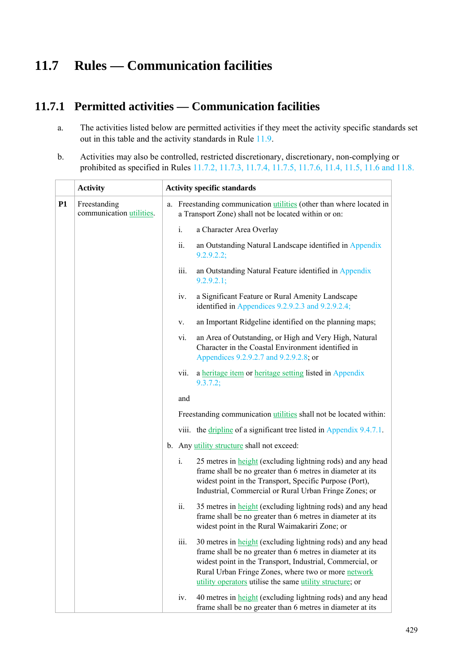# **11.7 Rules — Communication facilities**

### **11.7.1 Permitted activities — Communication facilities**

- a. The activities listed below are permitted activities if they meet the activity specific standards set out in this table and the activity standards in Rule 11.9.
- b. Activities may also be controlled, restricted discretionary, discretionary, non-complying or prohibited as specified in Rules 11.7.2, 11.7.3, 11.7.4, 11.7.5, 11.7.6, 11.4, 11.5, 11.6 and 11.8.

|           | <b>Activity</b>                          | <b>Activity specific standards</b> |       |                                                                                                                                                                                                                                                                                                                  |  |
|-----------|------------------------------------------|------------------------------------|-------|------------------------------------------------------------------------------------------------------------------------------------------------------------------------------------------------------------------------------------------------------------------------------------------------------------------|--|
| <b>P1</b> | Freestanding<br>communication utilities. |                                    |       | a. Freestanding communication <i>utilities</i> (other than where located in<br>a Transport Zone) shall not be located within or on:                                                                                                                                                                              |  |
|           |                                          |                                    | i.    | a Character Area Overlay                                                                                                                                                                                                                                                                                         |  |
|           |                                          |                                    | ii.   | an Outstanding Natural Landscape identified in Appendix<br>9.2.9.2.2;                                                                                                                                                                                                                                            |  |
|           |                                          |                                    | iii.  | an Outstanding Natural Feature identified in Appendix<br>9.2.9.2.1;                                                                                                                                                                                                                                              |  |
|           |                                          |                                    | iv.   | a Significant Feature or Rural Amenity Landscape<br>identified in Appendices 9.2.9.2.3 and 9.2.9.2.4;                                                                                                                                                                                                            |  |
|           |                                          |                                    | V.    | an Important Ridgeline identified on the planning maps;                                                                                                                                                                                                                                                          |  |
|           |                                          |                                    | vi.   | an Area of Outstanding, or High and Very High, Natural<br>Character in the Coastal Environment identified in<br>Appendices 9.2.9.2.7 and 9.2.9.2.8; or                                                                                                                                                           |  |
|           |                                          |                                    | vii.  | a heritage item or heritage setting listed in Appendix<br>9.3.7.2;                                                                                                                                                                                                                                               |  |
|           |                                          |                                    | and   |                                                                                                                                                                                                                                                                                                                  |  |
|           |                                          |                                    |       | Freestanding communication utilities shall not be located within:                                                                                                                                                                                                                                                |  |
|           |                                          |                                    |       | viii. the dripline of a significant tree listed in Appendix 9.4.7.1.                                                                                                                                                                                                                                             |  |
|           |                                          |                                    |       | b. Any utility structure shall not exceed:                                                                                                                                                                                                                                                                       |  |
|           |                                          |                                    | $i$ . | 25 metres in <b>height</b> (excluding lightning rods) and any head<br>frame shall be no greater than 6 metres in diameter at its<br>widest point in the Transport, Specific Purpose (Port),<br>Industrial, Commercial or Rural Urban Fringe Zones; or                                                            |  |
|           |                                          |                                    | ii.   | 35 metres in <b>height</b> (excluding lightning rods) and any head<br>frame shall be no greater than 6 metres in diameter at its<br>widest point in the Rural Waimakariri Zone; or                                                                                                                               |  |
|           |                                          |                                    | 111.  | 30 metres in <b>height</b> (excluding lightning rods) and any head<br>frame shall be no greater than 6 metres in diameter at its<br>widest point in the Transport, Industrial, Commercial, or<br>Rural Urban Fringe Zones, where two or more network<br>utility operators utilise the same utility structure; or |  |
|           |                                          |                                    | iv.   | 40 metres in <b>height</b> (excluding lightning rods) and any head<br>frame shall be no greater than 6 metres in diameter at its                                                                                                                                                                                 |  |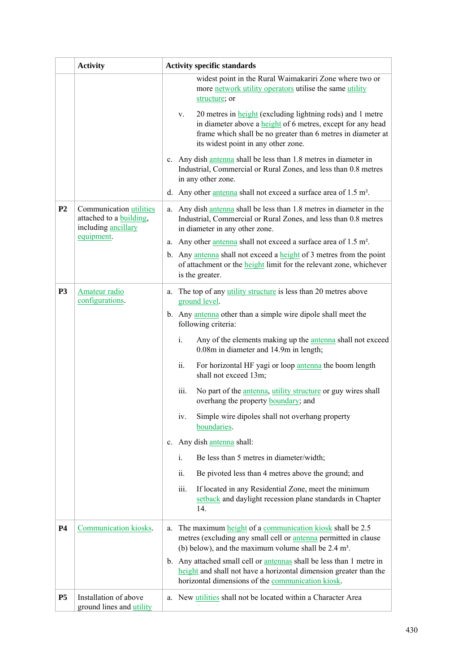|                | <b>Activity</b>                                                                   | <b>Activity specific standards</b>                                                                                                                                                                                                                   |  |  |
|----------------|-----------------------------------------------------------------------------------|------------------------------------------------------------------------------------------------------------------------------------------------------------------------------------------------------------------------------------------------------|--|--|
|                |                                                                                   | widest point in the Rural Waimakariri Zone where two or<br>more network utility operators utilise the same utility<br>structure; or                                                                                                                  |  |  |
|                |                                                                                   | 20 metres in <b>height</b> (excluding lightning rods) and 1 metre<br>V.<br>in diameter above a <b>height</b> of 6 metres, except for any head<br>frame which shall be no greater than 6 metres in diameter at<br>its widest point in any other zone. |  |  |
|                |                                                                                   | c. Any dish antenna shall be less than 1.8 metres in diameter in<br>Industrial, Commercial or Rural Zones, and less than 0.8 metres<br>in any other zone.                                                                                            |  |  |
|                |                                                                                   | d. Any other antenna shall not exceed a surface area of $1.5 \text{ m}^2$ .                                                                                                                                                                          |  |  |
| P <sub>2</sub> | Communication utilities<br>attached to a <b>building</b> ,<br>including ancillary | Any dish antenna shall be less than 1.8 metres in diameter in the<br>a.<br>Industrial, Commercial or Rural Zones, and less than 0.8 metres<br>in diameter in any other zone.                                                                         |  |  |
|                | equipment.                                                                        | a. Any other antenna shall not exceed a surface area of 1.5 m <sup>2</sup> .                                                                                                                                                                         |  |  |
|                |                                                                                   | b. Any antenna shall not exceed a height of 3 metres from the point<br>of attachment or the <b>height</b> limit for the relevant zone, whichever<br>is the greater.                                                                                  |  |  |
| <b>P3</b>      | Amateur radio<br>configurations.                                                  | a. The top of any utility structure is less than 20 metres above<br>ground level.                                                                                                                                                                    |  |  |
|                |                                                                                   | b. Any antenna other than a simple wire dipole shall meet the<br>following criteria:                                                                                                                                                                 |  |  |
|                |                                                                                   | i.<br>Any of the elements making up the <i>antenna</i> shall not exceed<br>0.08m in diameter and 14.9m in length;                                                                                                                                    |  |  |
|                |                                                                                   | ii.<br>For horizontal HF yagi or loop antenna the boom length<br>shall not exceed 13m;                                                                                                                                                               |  |  |
|                |                                                                                   | iii.<br>No part of the <i>antenna</i> , <i>utility structure</i> or guy wires shall<br>overhang the property <b>boundary</b> ; and                                                                                                                   |  |  |
|                |                                                                                   | Simple wire dipoles shall not overhang property<br>iv.<br>boundaries.                                                                                                                                                                                |  |  |
|                |                                                                                   | Any dish antenna shall:<br>$c_{-}$                                                                                                                                                                                                                   |  |  |
|                |                                                                                   | $i$ .<br>Be less than 5 metres in diameter/width;                                                                                                                                                                                                    |  |  |
|                |                                                                                   | ii.<br>Be pivoted less than 4 metres above the ground; and                                                                                                                                                                                           |  |  |
|                |                                                                                   | If located in any Residential Zone, meet the minimum<br>iii.<br>setback and daylight recession plane standards in Chapter<br>14.                                                                                                                     |  |  |
| <b>P4</b>      | Communication kiosks.                                                             | The maximum height of a communication kiosk shall be 2.5<br>a.<br>metres (excluding any small cell or <b>antenna</b> permitted in clause<br>(b) below), and the maximum volume shall be $2.4 \text{ m}^3$ .                                          |  |  |
|                |                                                                                   | b. Any attached small cell or antennas shall be less than 1 metre in<br>height and shall not have a horizontal dimension greater than the<br>horizontal dimensions of the communication kiosk.                                                       |  |  |
| <b>P5</b>      | Installation of above<br>ground lines and utility                                 | a. New utilities shall not be located within a Character Area                                                                                                                                                                                        |  |  |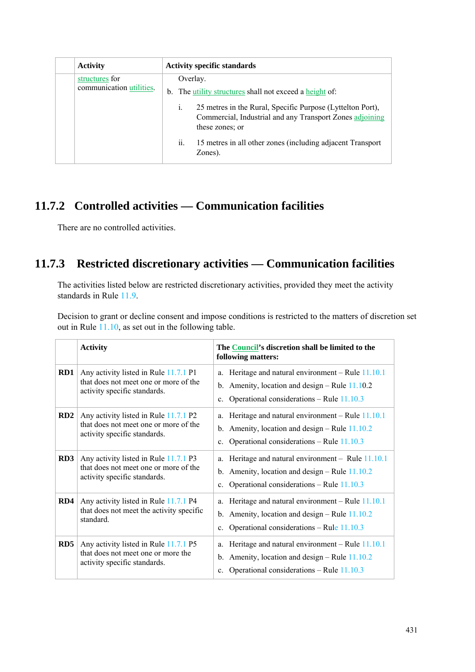| <b>Activity</b>                            | <b>Activity specific standards</b> |                                                                                                                                                             |  |
|--------------------------------------------|------------------------------------|-------------------------------------------------------------------------------------------------------------------------------------------------------------|--|
| structures for<br>communication utilities. |                                    | Overlay.<br>b. The <i>utility</i> structures shall not exceed a height of:                                                                                  |  |
|                                            |                                    | 25 metres in the Rural, Specific Purpose (Lyttelton Port),<br>$\mathbf{1}$ .<br>Commercial, Industrial and any Transport Zones adjoining<br>these zones; or |  |
|                                            |                                    | ii.<br>15 metres in all other zones (including adjacent Transport<br>Zones).                                                                                |  |

## **11.7.2 Controlled activities — Communication facilities**

There are no controlled activities.

# **11.7.3 Restricted discretionary activities — Communication facilities**

The activities listed below are restricted discretionary activities, provided they meet the activity standards in Rule 11.9.

Decision to grant or decline consent and impose conditions is restricted to the matters of discretion set out in Rule 11.10, as set out in the following table.

|                 | <b>Activity</b>                                                                                                | The Council's discretion shall be limited to the<br>following matters:                                                                                                      |
|-----------------|----------------------------------------------------------------------------------------------------------------|-----------------------------------------------------------------------------------------------------------------------------------------------------------------------------|
| RD1             | Any activity listed in Rule 11.7.1 P1<br>that does not meet one or more of the<br>activity specific standards. | Heritage and natural environment – Rule $11.10.1$<br>a.<br>b. Amenity, location and design – Rule $11.10.2$<br>Operational considerations – Rule $11.10.3$<br>$c_{-}$       |
| RD2             | Any activity listed in Rule 11.7.1 P2<br>that does not meet one or more of the<br>activity specific standards. | Heritage and natural environment – Rule $11.10.1$<br>a.<br>b. Amenity, location and design $-$ Rule 11.10.2<br>Operational considerations – Rule $11.10.3$<br>$c_{-}$       |
| RD3             | Any activity listed in Rule 11.7.1 P3<br>that does not meet one or more of the<br>activity specific standards. | a. Heritage and natural environment - Rule 11.10.1<br>b. Amenity, location and design $-$ Rule 11.10.2<br>Operational considerations – Rule $11.10.3$<br>$c_{\cdot}$        |
| RD4             | Any activity listed in Rule 11.7.1 P4<br>that does not meet the activity specific<br>standard.                 | Heritage and natural environment – Rule $11.10.1$<br>a.<br>Amenity, location and design – Rule $11.10.2$<br>$b_{-}$<br>Operational considerations – Rule 11.10.3<br>$c_{-}$ |
| RD <sub>5</sub> | Any activity listed in Rule 11.7.1 P5<br>that does not meet one or more the<br>activity specific standards.    | Heritage and natural environment - Rule 11.10.1<br>a.<br>Amenity, location and design – Rule $11.10.2$<br>$b_{1}$<br>Operational considerations – Rule $11.10.3$            |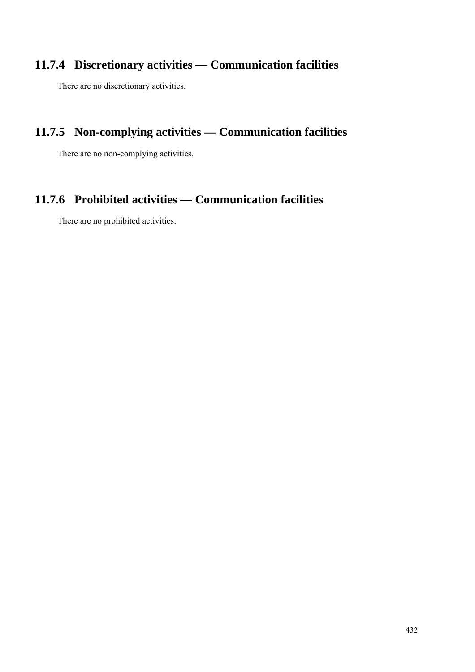# **11.7.4 Discretionary activities — Communication facilities**

There are no discretionary activities.

# **11.7.5 Non-complying activities — Communication facilities**

There are no non-complying activities.

## **11.7.6 Prohibited activities — Communication facilities**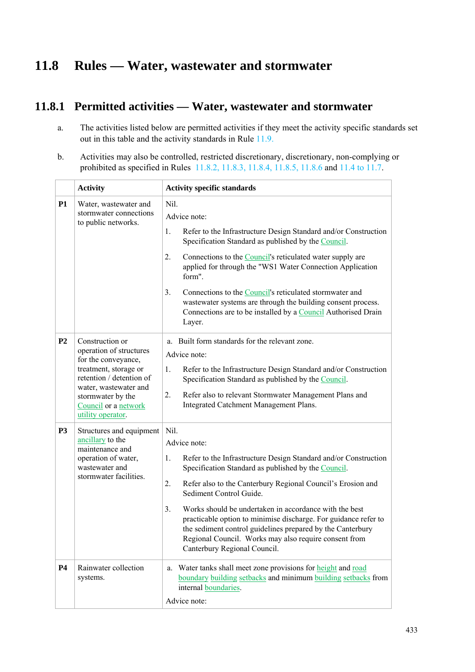# **11.8 Rules — Water, wastewater and stormwater**

### **11.8.1 Permitted activities — Water, wastewater and stormwater**

- a. The activities listed below are permitted activities if they meet the activity specific standards set out in this table and the activity standards in Rule 11.9.
- b. Activities may also be controlled, restricted discretionary, discretionary, non-complying or prohibited as specified in Rules 11.8.2, 11.8.3, 11.8.4, 11.8.5, 11.8.6 and 11.4 to 11.7.

|                | <b>Activity</b>                                                                                                                                                                                                   | <b>Activity specific standards</b>                                                                                                                                                                                                                                                                                                                                                                                                                                                                                                             |  |
|----------------|-------------------------------------------------------------------------------------------------------------------------------------------------------------------------------------------------------------------|------------------------------------------------------------------------------------------------------------------------------------------------------------------------------------------------------------------------------------------------------------------------------------------------------------------------------------------------------------------------------------------------------------------------------------------------------------------------------------------------------------------------------------------------|--|
| <b>P1</b>      | Water, wastewater and<br>stormwater connections<br>to public networks.                                                                                                                                            | Nil.<br>Advice note:<br>1.<br>Refer to the Infrastructure Design Standard and/or Construction<br>Specification Standard as published by the Council.<br>Connections to the <b>Council</b> 's reticulated water supply are<br>2.<br>applied for through the "WS1 Water Connection Application<br>form".                                                                                                                                                                                                                                         |  |
|                |                                                                                                                                                                                                                   | 3.<br>Connections to the Council's reticulated stormwater and<br>wastewater systems are through the building consent process.<br>Connections are to be installed by a Council Authorised Drain<br>Layer.                                                                                                                                                                                                                                                                                                                                       |  |
| P <sub>2</sub> | Construction or<br>operation of structures<br>for the conveyance,<br>treatment, storage or<br>retention / detention of<br>water, wastewater and<br>stormwater by the<br>Council or a network<br>utility operator. | a. Built form standards for the relevant zone.<br>Advice note:<br>Refer to the Infrastructure Design Standard and/or Construction<br>1.<br>Specification Standard as published by the Council.<br>2.<br>Refer also to relevant Stormwater Management Plans and<br>Integrated Catchment Management Plans.                                                                                                                                                                                                                                       |  |
| P <sub>3</sub> | Structures and equipment<br>ancillary to the<br>maintenance and<br>operation of water,<br>wastewater and<br>stormwater facilities.                                                                                | Nil.<br>Advice note:<br>Refer to the Infrastructure Design Standard and/or Construction<br>1.<br>Specification Standard as published by the Council.<br>2.<br>Refer also to the Canterbury Regional Council's Erosion and<br>Sediment Control Guide.<br>Works should be undertaken in accordance with the best<br>3.<br>practicable option to minimise discharge. For guidance refer to<br>the sediment control guidelines prepared by the Canterbury<br>Regional Council. Works may also require consent from<br>Canterbury Regional Council. |  |
| P <sub>4</sub> | Rainwater collection<br>systems.                                                                                                                                                                                  | a. Water tanks shall meet zone provisions for height and road<br>boundary building setbacks and minimum building setbacks from<br>internal boundaries.<br>Advice note:                                                                                                                                                                                                                                                                                                                                                                         |  |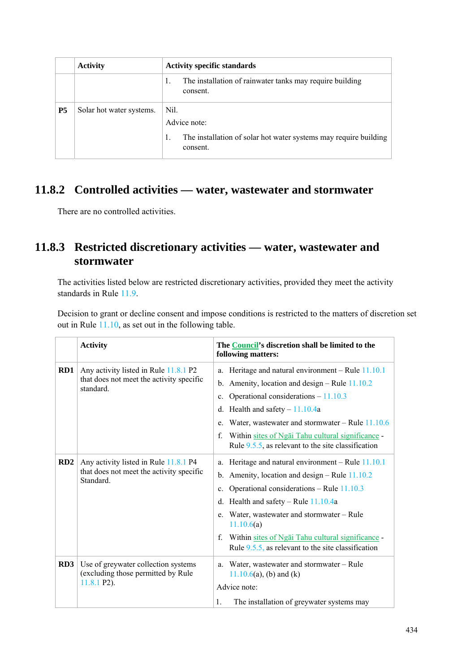|           | <b>Activity</b>          | <b>Activity specific standards</b>                                                                   |  |
|-----------|--------------------------|------------------------------------------------------------------------------------------------------|--|
|           |                          | The installation of rainwater tanks may require building<br>1.<br>consent.                           |  |
| <b>P5</b> | Solar hot water systems. | Nil.<br>Advice note:<br>The installation of solar hot water systems may require building<br>consent. |  |

## **11.8.2 Controlled activities — water, wastewater and stormwater**

There are no controlled activities.

### **11.8.3 Restricted discretionary activities — water, wastewater and stormwater**

The activities listed below are restricted discretionary activities, provided they meet the activity standards in Rule 11.9.

Decision to grant or decline consent and impose conditions is restricted to the matters of discretion set out in Rule 11.10, as set out in the following table.

|     | <b>Activity</b>                                                                                | The Council's discretion shall be limited to the<br>following matters:                                                                                                                                                                                                                                                                                                                                      |
|-----|------------------------------------------------------------------------------------------------|-------------------------------------------------------------------------------------------------------------------------------------------------------------------------------------------------------------------------------------------------------------------------------------------------------------------------------------------------------------------------------------------------------------|
| RD1 | Any activity listed in Rule 11.8.1 P2<br>that does not meet the activity specific<br>standard. | a. Heritage and natural environment - Rule 11.10.1<br>Amenity, location and design – Rule 11.10.2<br>b.<br>Operational considerations $-11.10.3$<br>$c_{\cdot}$<br>Health and safety $-11.10.4a$<br>d.<br>Water, wastewater and stormwater – Rule $11.10.6$<br>e.                                                                                                                                           |
|     |                                                                                                | f.<br>Within sites of Ngai Tahu cultural significance -<br>Rule $9.5.5$ , as relevant to the site classification                                                                                                                                                                                                                                                                                            |
| RD2 | Any activity listed in Rule 11.8.1 P4<br>that does not meet the activity specific<br>Standard. | Heritage and natural environment - Rule 11.10.1<br>a.<br>Amenity, location and design – Rule 11.10.2<br>$b_{\cdot}$<br>Operational considerations – Rule $11.10.3$<br>$c_{-}$<br>Health and safety - Rule 11.10.4a<br>d.<br>Water, wastewater and stormwater – Rule<br>e.<br>11.10.6(a)<br>Within sites of Ngai Tahu cultural significance -<br>f.<br>Rule $9.5.5$ , as relevant to the site classification |
| RD3 | Use of greywater collection systems<br>(excluding those permitted by Rule<br>$11.8.1$ P2).     | Water, wastewater and stormwater – Rule<br>a.<br>$11.10.6(a)$ , (b) and (k)<br>Advice note:<br>1.<br>The installation of greywater systems may                                                                                                                                                                                                                                                              |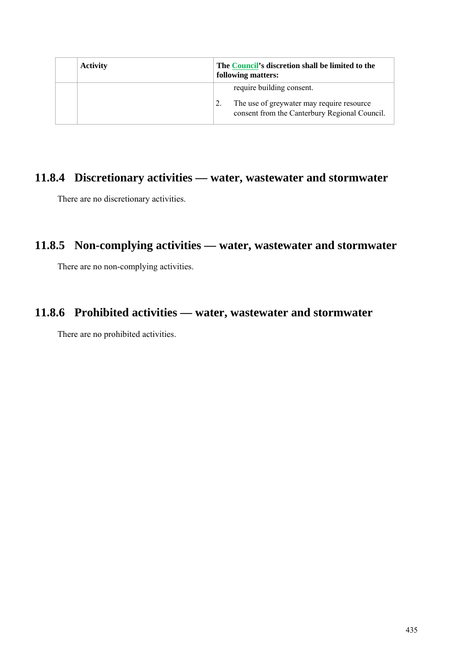| <b>Activity</b> | The Council's discretion shall be limited to the<br>following matters:                                                  |
|-----------------|-------------------------------------------------------------------------------------------------------------------------|
|                 | require building consent.<br>The use of greywater may require resource<br>consent from the Canterbury Regional Council. |

### **11.8.4 Discretionary activities — water, wastewater and stormwater**

There are no discretionary activities.

### **11.8.5 Non-complying activities — water, wastewater and stormwater**

There are no non-complying activities.

## **11.8.6 Prohibited activities — water, wastewater and stormwater**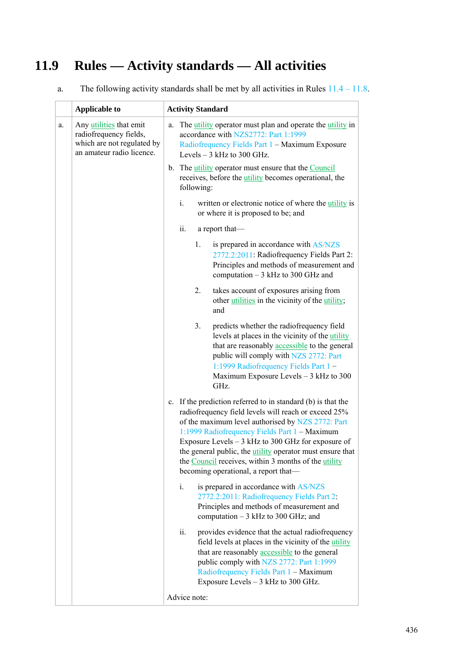# **11.9 Rules — Activity standards — All activities**

| a. | The following activity standards shall be met by all activities in Rules $11.4 - 11.8$ . |
|----|------------------------------------------------------------------------------------------|
|    |                                                                                          |

|    | <b>Applicable to</b>                                                                                         | <b>Activity Standard</b>                                                                                                                                                                                                                                                                                                                                                                                                                              |  |
|----|--------------------------------------------------------------------------------------------------------------|-------------------------------------------------------------------------------------------------------------------------------------------------------------------------------------------------------------------------------------------------------------------------------------------------------------------------------------------------------------------------------------------------------------------------------------------------------|--|
| a. | Any utilities that emit<br>radiofrequency fields,<br>which are not regulated by<br>an amateur radio licence. | The <i>utility</i> operator must plan and operate the <i>utility</i> in<br>a.<br>accordance with NZS2772: Part 1:1999<br>Radiofrequency Fields Part 1 - Maximum Exposure<br>Levels $-3$ kHz to 300 GHz.<br>b. The utility operator must ensure that the Council<br>receives, before the <i>utility</i> becomes operational, the<br>following:                                                                                                         |  |
|    |                                                                                                              |                                                                                                                                                                                                                                                                                                                                                                                                                                                       |  |
|    |                                                                                                              | i.<br>written or electronic notice of where the utility is<br>or where it is proposed to be; and                                                                                                                                                                                                                                                                                                                                                      |  |
|    |                                                                                                              | ii.<br>a report that-                                                                                                                                                                                                                                                                                                                                                                                                                                 |  |
|    |                                                                                                              | $1_{\cdot}$<br>is prepared in accordance with AS/NZS<br>2772.2:2011: Radiofrequency Fields Part 2:<br>Principles and methods of measurement and<br>computation $-3$ kHz to 300 GHz and                                                                                                                                                                                                                                                                |  |
|    |                                                                                                              | takes account of exposures arising from<br>2.<br>other utilities in the vicinity of the utility;<br>and                                                                                                                                                                                                                                                                                                                                               |  |
|    |                                                                                                              | 3 <sub>1</sub><br>predicts whether the radiofrequency field<br>levels at places in the vicinity of the utility<br>that are reasonably accessible to the general<br>public will comply with NZS 2772: Part<br>1:1999 Radiofrequency Fields Part 1-<br>Maximum Exposure Levels - 3 kHz to 300<br>GHz.                                                                                                                                                   |  |
|    |                                                                                                              | c. If the prediction referred to in standard (b) is that the<br>radiofrequency field levels will reach or exceed 25%<br>of the maximum level authorised by NZS 2772: Part<br>1:1999 Radiofrequency Fields Part 1 - Maximum<br>Exposure Levels $-3$ kHz to 300 GHz for exposure of<br>the general public, the <i>utility</i> operator must ensure that<br>the Council receives, within 3 months of the utility<br>becoming operational, a report that- |  |
|    |                                                                                                              | i.<br>is prepared in accordance with AS/NZS<br>2772.2:2011: Radiofrequency Fields Part 2:<br>Principles and methods of measurement and<br>computation $-3$ kHz to 300 GHz; and                                                                                                                                                                                                                                                                        |  |
|    |                                                                                                              | ii.<br>provides evidence that the actual radiofrequency<br>field levels at places in the vicinity of the utility<br>that are reasonably accessible to the general<br>public comply with NZS 2772: Part 1:1999<br>Radiofrequency Fields Part 1 - Maximum<br>Exposure Levels $-3$ kHz to 300 GHz.                                                                                                                                                       |  |
|    |                                                                                                              | Advice note:                                                                                                                                                                                                                                                                                                                                                                                                                                          |  |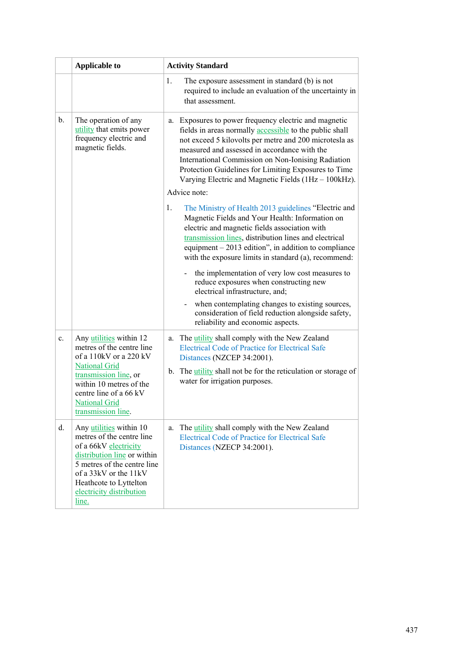|    | <b>Applicable to</b>                                                                                                                                                                                                                | <b>Activity Standard</b>                                                                                                                                                                                                                                                                                                                                                                         |  |
|----|-------------------------------------------------------------------------------------------------------------------------------------------------------------------------------------------------------------------------------------|--------------------------------------------------------------------------------------------------------------------------------------------------------------------------------------------------------------------------------------------------------------------------------------------------------------------------------------------------------------------------------------------------|--|
|    |                                                                                                                                                                                                                                     | 1.<br>The exposure assessment in standard (b) is not<br>required to include an evaluation of the uncertainty in<br>that assessment.                                                                                                                                                                                                                                                              |  |
| b. | The operation of any<br>utility that emits power<br>frequency electric and<br>magnetic fields.                                                                                                                                      | a. Exposures to power frequency electric and magnetic<br>fields in areas normally accessible to the public shall<br>not exceed 5 kilovolts per metre and 200 microtesla as<br>measured and assessed in accordance with the<br>International Commission on Non-Ionising Radiation<br>Protection Guidelines for Limiting Exposures to Time<br>Varying Electric and Magnetic Fields (1Hz - 100kHz). |  |
|    |                                                                                                                                                                                                                                     | Advice note:                                                                                                                                                                                                                                                                                                                                                                                     |  |
|    |                                                                                                                                                                                                                                     | The Ministry of Health 2013 guidelines "Electric and<br>1.<br>Magnetic Fields and Your Health: Information on<br>electric and magnetic fields association with<br>transmission lines, distribution lines and electrical<br>equipment $-2013$ edition", in addition to compliance<br>with the exposure limits in standard (a), recommend:                                                         |  |
|    |                                                                                                                                                                                                                                     | the implementation of very low cost measures to<br>reduce exposures when constructing new<br>electrical infrastructure, and;                                                                                                                                                                                                                                                                     |  |
|    |                                                                                                                                                                                                                                     | when contemplating changes to existing sources,<br>consideration of field reduction alongside safety,<br>reliability and economic aspects.                                                                                                                                                                                                                                                       |  |
| c. | Any utilities within 12<br>metres of the centre line<br>of a 110kV or a 220 kV<br><b>National Grid</b><br>transmission line, or<br>within 10 metres of the<br>centre line of a 66 kV<br><b>National Grid</b><br>transmission line.  | The <i>utility</i> shall comply with the New Zealand<br>a.<br><b>Electrical Code of Practice for Electrical Safe</b><br>Distances (NZCEP 34:2001).                                                                                                                                                                                                                                               |  |
|    |                                                                                                                                                                                                                                     | b. The <i>utility</i> shall not be for the reticulation or storage of<br>water for irrigation purposes.                                                                                                                                                                                                                                                                                          |  |
| d. | Any utilities within 10<br>metres of the centre line<br>of a 66kV electricity<br>distribution line or within<br>5 metres of the centre line<br>of a 33kV or the 11kV<br>Heathcote to Lyttelton<br>electricity distribution<br>line. | The <i>utility</i> shall comply with the New Zealand<br>a.<br><b>Electrical Code of Practice for Electrical Safe</b><br>Distances (NZECP 34:2001).                                                                                                                                                                                                                                               |  |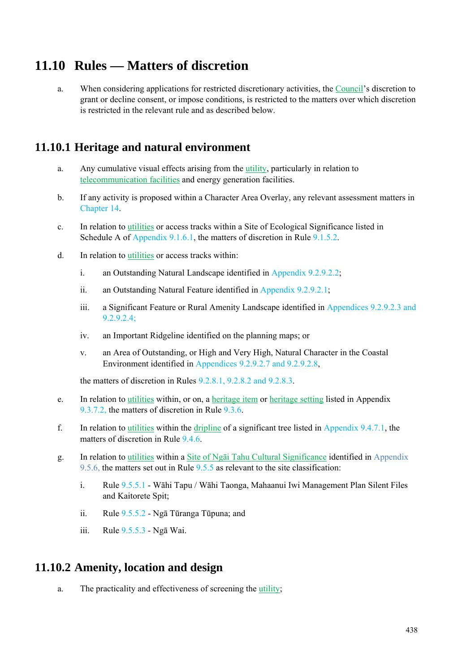# **11.10 Rules — Matters of discretion**

a. When considering applications for restricted discretionary activities, the Council's discretion to grant or decline consent, or impose conditions, is restricted to the matters over which discretion is restricted in the relevant rule and as described below.

### **11.10.1 Heritage and natural environment**

- a. Any cumulative visual effects arising from the utility, particularly in relation to telecommunication facilities and energy generation facilities.
- b. If any activity is proposed within a Character Area Overlay, any relevant assessment matters in Chapter 14.
- c. In relation to utilities or access tracks within a Site of Ecological Significance listed in Schedule A of Appendix 9.1.6.1, the matters of discretion in Rule 9.1.5.2.
- d. In relation to utilities or access tracks within:
	- i. an Outstanding Natural Landscape identified in Appendix 9.2.9.2.2;
	- ii. an Outstanding Natural Feature identified in Appendix 9.2.9.2.1;
	- iii. a Significant Feature or Rural Amenity Landscape identified in Appendices 9.2.9.2.3 and 9.2.9.2.4;
	- iv. an Important Ridgeline identified on the planning maps; or
	- v. an Area of Outstanding, or High and Very High, Natural Character in the Coastal Environment identified in Appendices 9.2.9.2.7 and 9.2.9.2.8,

the matters of discretion in Rules  $9.2.81, 9.2.82$  and  $9.2.8.3.3.3$ 

- e. In relation to utilities within, or on, a heritage item or heritage setting listed in Appendix 9.3.7.2, the matters of discretion in Rule 9.3.6.
- f. In relation to utilities within the dripline of a significant tree listed in Appendix  $9.4.7.1$ , the matters of discretion in Rule 9.4.6.
- g. In relation to utilities within a Site of Ngāi Tahu Cultural Significance identified in Appendix 9.5.6, the matters set out in Rule 9.5.5 as relevant to the site classification:
	- i. Rule 9.5.5.1 Wāhi Tapu / Wāhi Taonga, Mahaanui Iwi Management Plan Silent Files and Kaitorete Spit;
	- ii. Rule 9.5.5.2 Ngā Tūranga Tūpuna; and
	- iii. Rule 9.5.5.3 Ngā Wai.

#### **11.10.2 Amenity, location and design**

a. The practicality and effectiveness of screening the utility;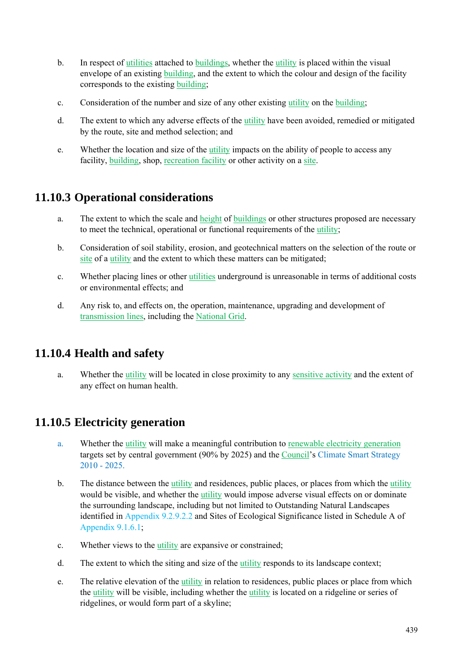- b. In respect of utilities attached to buildings, whether the utility is placed within the visual envelope of an existing building, and the extent to which the colour and design of the facility corresponds to the existing building;
- c. Consideration of the number and size of any other existing utility on the building;
- d. The extent to which any adverse effects of the utility have been avoided, remedied or mitigated by the route, site and method selection; and
- e. Whether the location and size of the utility impacts on the ability of people to access any facility, building, shop, recreation facility or other activity on a site.

## **11.10.3 Operational considerations**

- a. The extent to which the scale and height of buildings or other structures proposed are necessary to meet the technical, operational or functional requirements of the utility;
- b. Consideration of soil stability, erosion, and geotechnical matters on the selection of the route or site of a utility and the extent to which these matters can be mitigated;
- c. Whether placing lines or other utilities underground is unreasonable in terms of additional costs or environmental effects; and
- d. Any risk to, and effects on, the operation, maintenance, upgrading and development of transmission lines, including the National Grid.

### **11.10.4 Health and safety**

a. Whether the utility will be located in close proximity to any sensitive activity and the extent of any effect on human health.

### **11.10.5 Electricity generation**

- a. Whether the utility will make a meaningful contribution to renewable electricity generation targets set by central government (90% by 2025) and the Council's Climate Smart Strategy 2010 - 2025.
- b. The distance between the utility and residences, public places, or places from which the utility would be visible, and whether the utility would impose adverse visual effects on or dominate the surrounding landscape, including but not limited to Outstanding Natural Landscapes identified in Appendix 9.2.9.2.2 and Sites of Ecological Significance listed in Schedule A of Appendix 9.1.6.1;
- c. Whether views to the utility are expansive or constrained;
- d. The extent to which the siting and size of the utility responds to its landscape context;
- e. The relative elevation of the utility in relation to residences, public places or place from which the utility will be visible, including whether the utility is located on a ridgeline or series of ridgelines, or would form part of a skyline;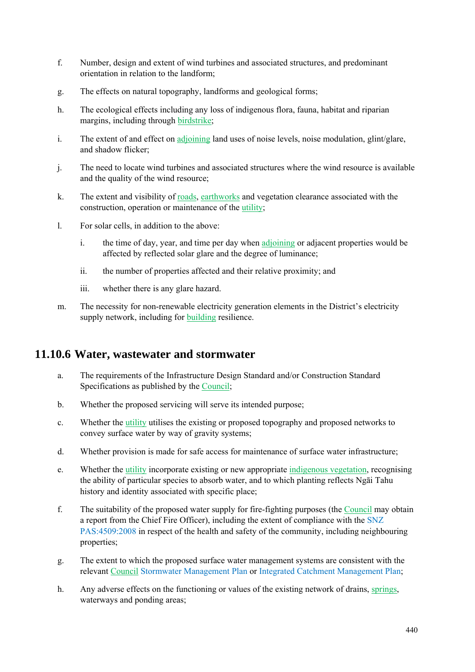- f. Number, design and extent of wind turbines and associated structures, and predominant orientation in relation to the landform;
- g. The effects on natural topography, landforms and geological forms;
- h. The ecological effects including any loss of indigenous flora, fauna, habitat and riparian margins, including through birdstrike;
- i. The extent of and effect on adjoining land uses of noise levels, noise modulation, glint/glare, and shadow flicker;
- j. The need to locate wind turbines and associated structures where the wind resource is available and the quality of the wind resource;
- k. The extent and visibility of roads, earthworks and vegetation clearance associated with the construction, operation or maintenance of the utility;
- l. For solar cells, in addition to the above:
	- i. the time of day, year, and time per day when adjoining or adjacent properties would be affected by reflected solar glare and the degree of luminance;
	- ii. the number of properties affected and their relative proximity; and
	- iii. whether there is any glare hazard.
- m. The necessity for non-renewable electricity generation elements in the District's electricity supply network, including for building resilience.

#### **11.10.6 Water, wastewater and stormwater**

- a. The requirements of the Infrastructure Design Standard and/or Construction Standard Specifications as published by the Council;
- b. Whether the proposed servicing will serve its intended purpose;
- c. Whether the utility utilises the existing or proposed topography and proposed networks to convey surface water by way of gravity systems;
- d. Whether provision is made for safe access for maintenance of surface water infrastructure;
- e. Whether the utility incorporate existing or new appropriate indigenous vegetation, recognising the ability of particular species to absorb water, and to which planting reflects Ngāi Tahu history and identity associated with specific place;
- f. The suitability of the proposed water supply for fire-fighting purposes (the Council may obtain a report from the Chief Fire Officer), including the extent of compliance with the SNZ PAS:4509:2008 in respect of the health and safety of the community, including neighbouring properties;
- g. The extent to which the proposed surface water management systems are consistent with the relevant Council Stormwater Management Plan or Integrated Catchment Management Plan;
- h. Any adverse effects on the functioning or values of the existing network of drains, springs, waterways and ponding areas;